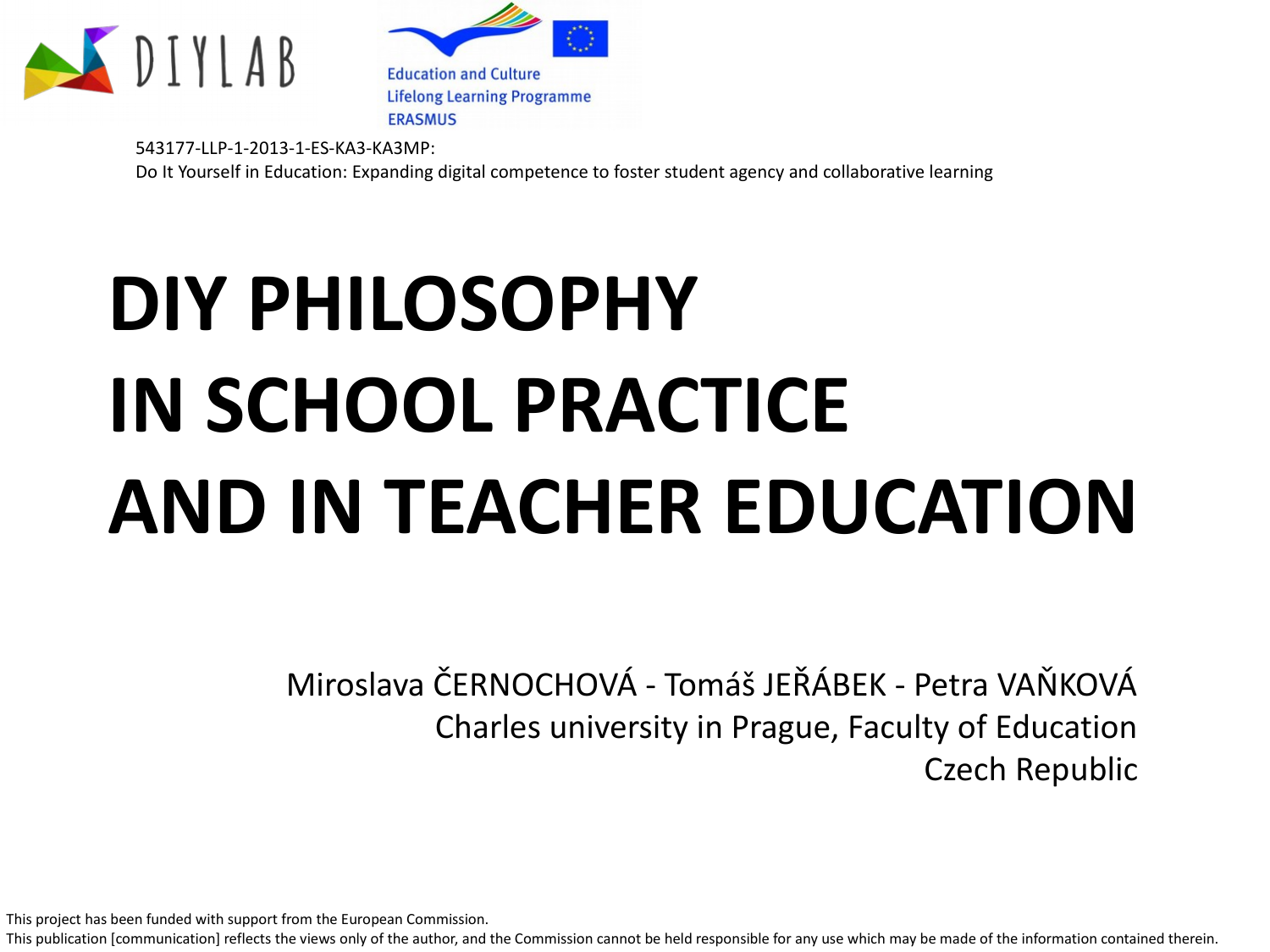



543177-LLP-1-2013-1-ES-KA3-KA3MP: Do It Yourself in Education: Expanding digital competence to foster student agency and collaborative learning

# **DIY PHILOSOPHY IN SCHOOL PRACTICE AND IN TEACHER EDUCATION**

Miroslava ČERNOCHOVÁ - Tomáš JEŘÁBEK - Petra VAŇKOVÁ Charles university in Prague, Faculty of Education Czech Republic

This project has been funded with support from the European Commission.

This publication [communication] reflects the views only of the author, and the Commission cannot be held responsible for any use which may be made of the information contained therein.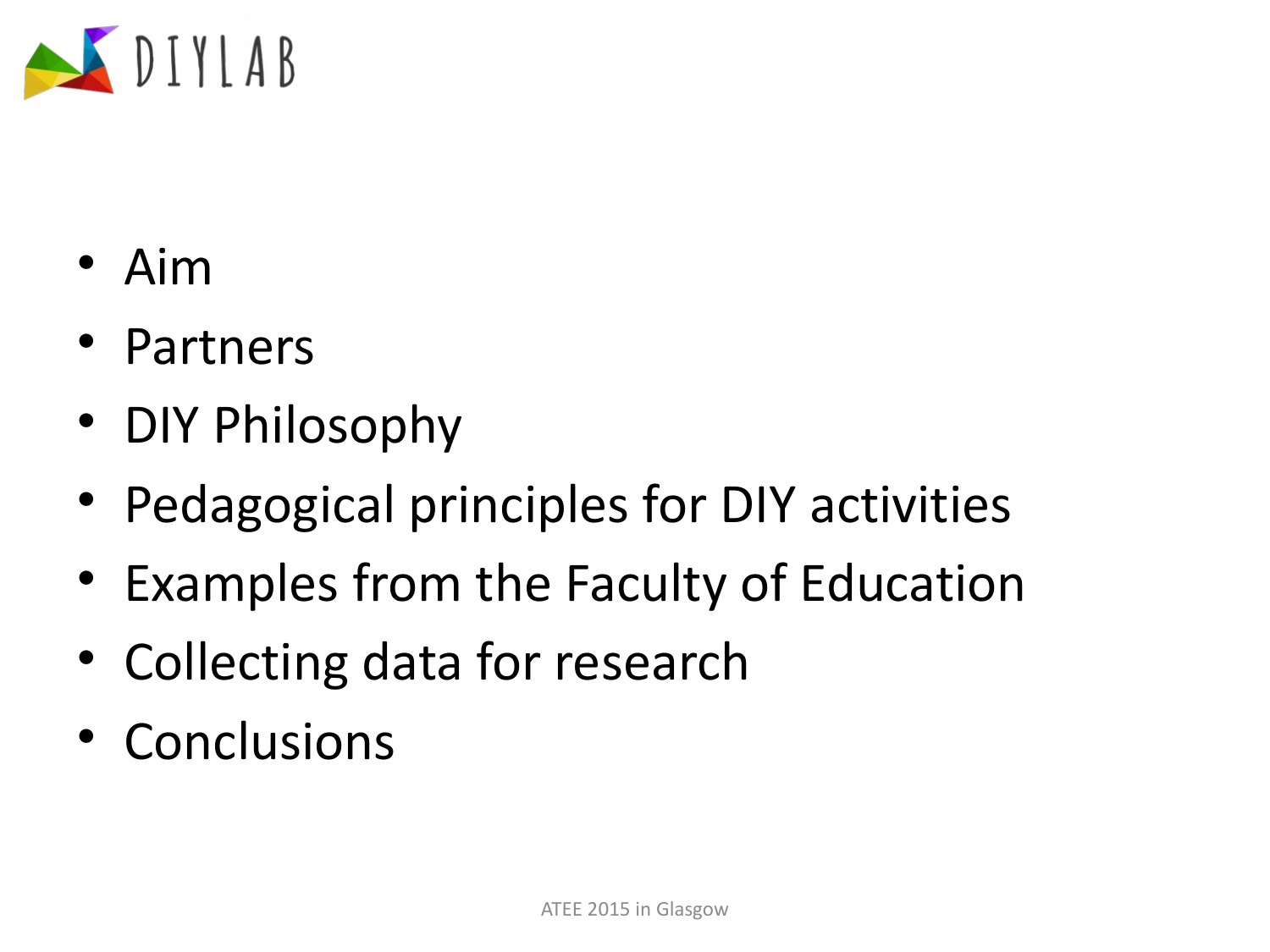

- Aim
- Partners
- DIY Philosophy
- Pedagogical principles for DIY activities
- Examples from the Faculty of Education
- Collecting data for research
- Conclusions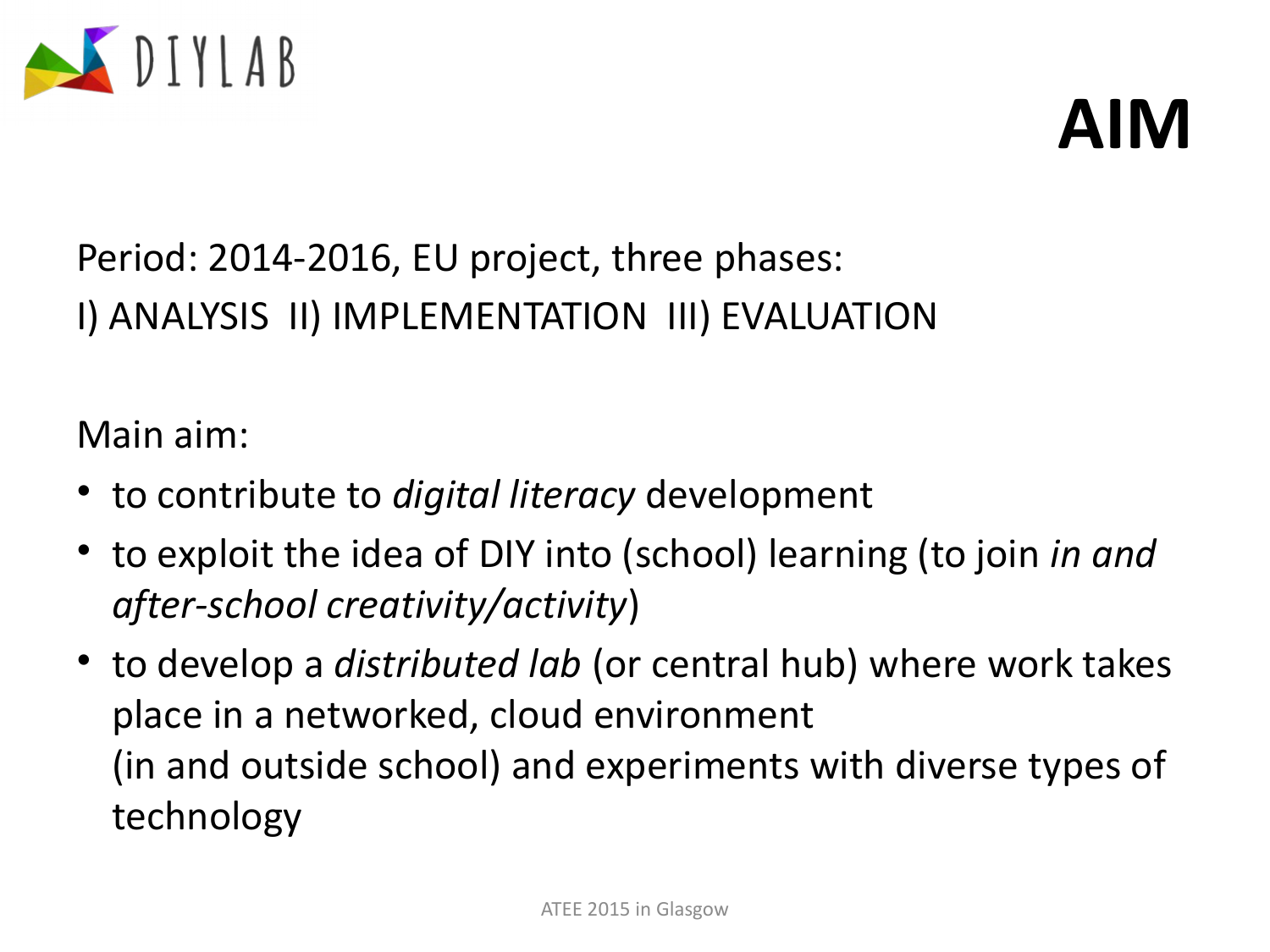



### Period: 2014-2016, EU project, three phases: I) ANALYSIS II) IMPLEMENTATION III) EVALUATION

Main aim:

- to contribute to *digital literacy* development
- to exploit the idea of DIY into (school) learning (to join *in and after-school creativity/activity*)
- to develop a *distributed lab* (or central hub) where work takes place in a networked, cloud environment (in and outside school) and experiments with diverse types of technology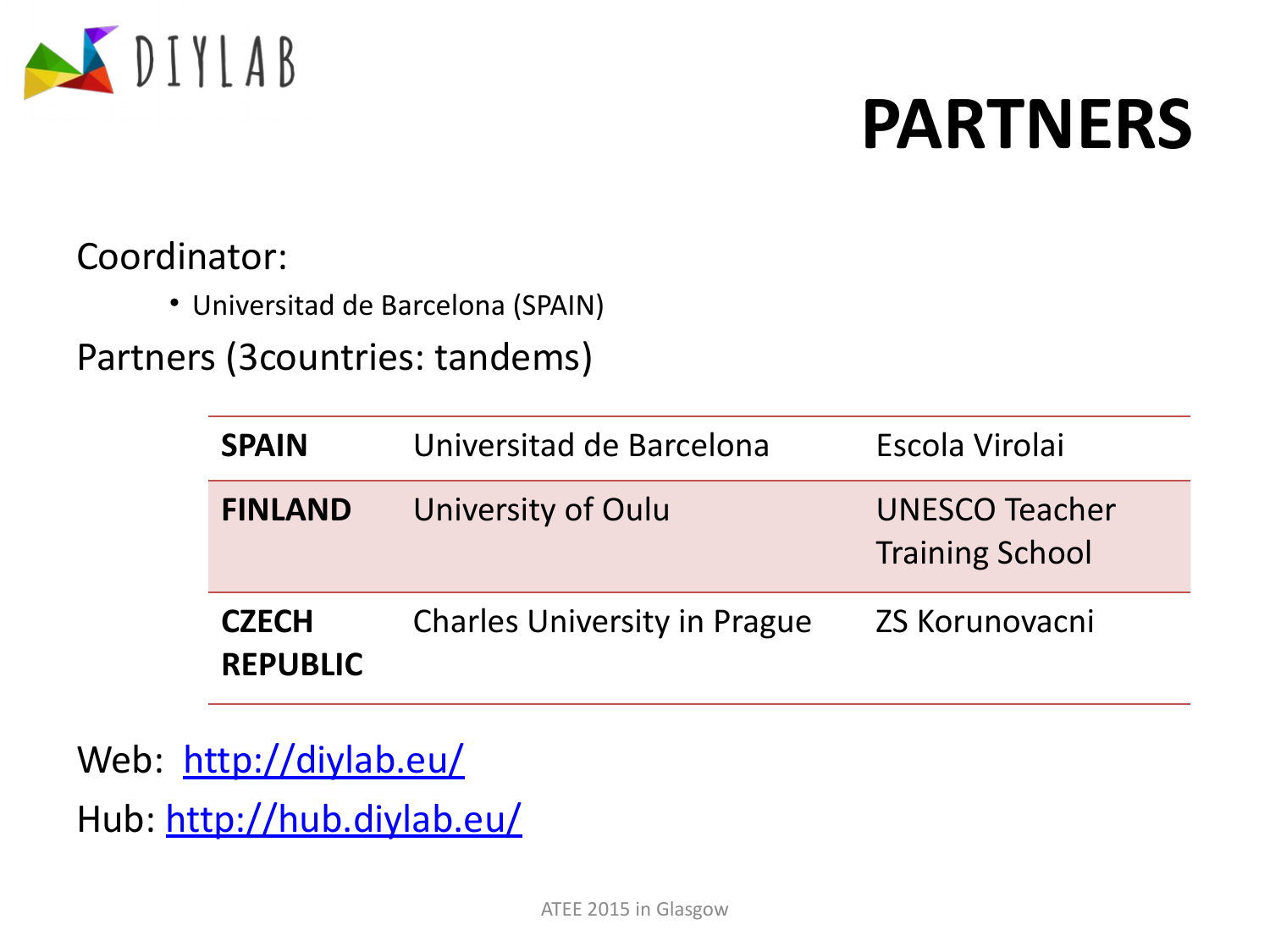

# **PARTNERS**

### Coordinator:

• Universitad de Barcelona (SPAIN)

Partners (3countries: tandems)

| <b>SPAIN</b>                    | Universitad de Barcelona            | Escola Virolai                                  |
|---------------------------------|-------------------------------------|-------------------------------------------------|
| <b>FINLAND</b>                  | University of Oulu                  | <b>UNESCO Teacher</b><br><b>Training School</b> |
| <b>CZECH</b><br><b>REPUBLIC</b> | <b>Charles University in Prague</b> | <b>ZS Korunovacni</b>                           |

Web: <http://diylab.eu/> Hub:<http://hub.diylab.eu/>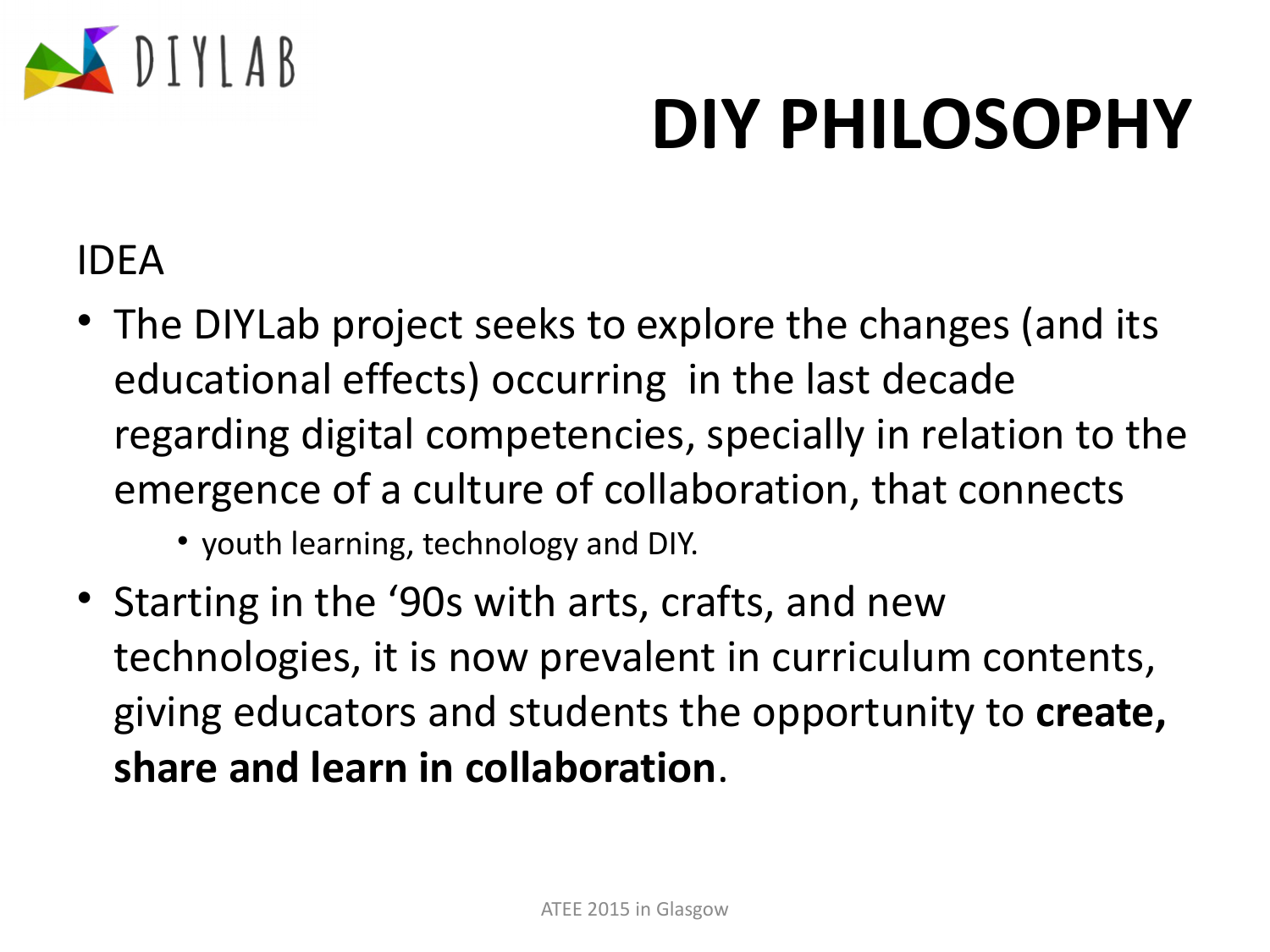

# **DIY PHILOSOPHY**

### IDEA

- The DIYLab project seeks to explore the changes (and its educational effects) occurring in the last decade regarding digital competencies, specially in relation to the emergence of a culture of collaboration, that connects
	- youth learning, technology and DIY.
- Starting in the '90s with arts, crafts, and new technologies, it is now prevalent in curriculum contents, giving educators and students the opportunity to **create, share and learn in collaboration**.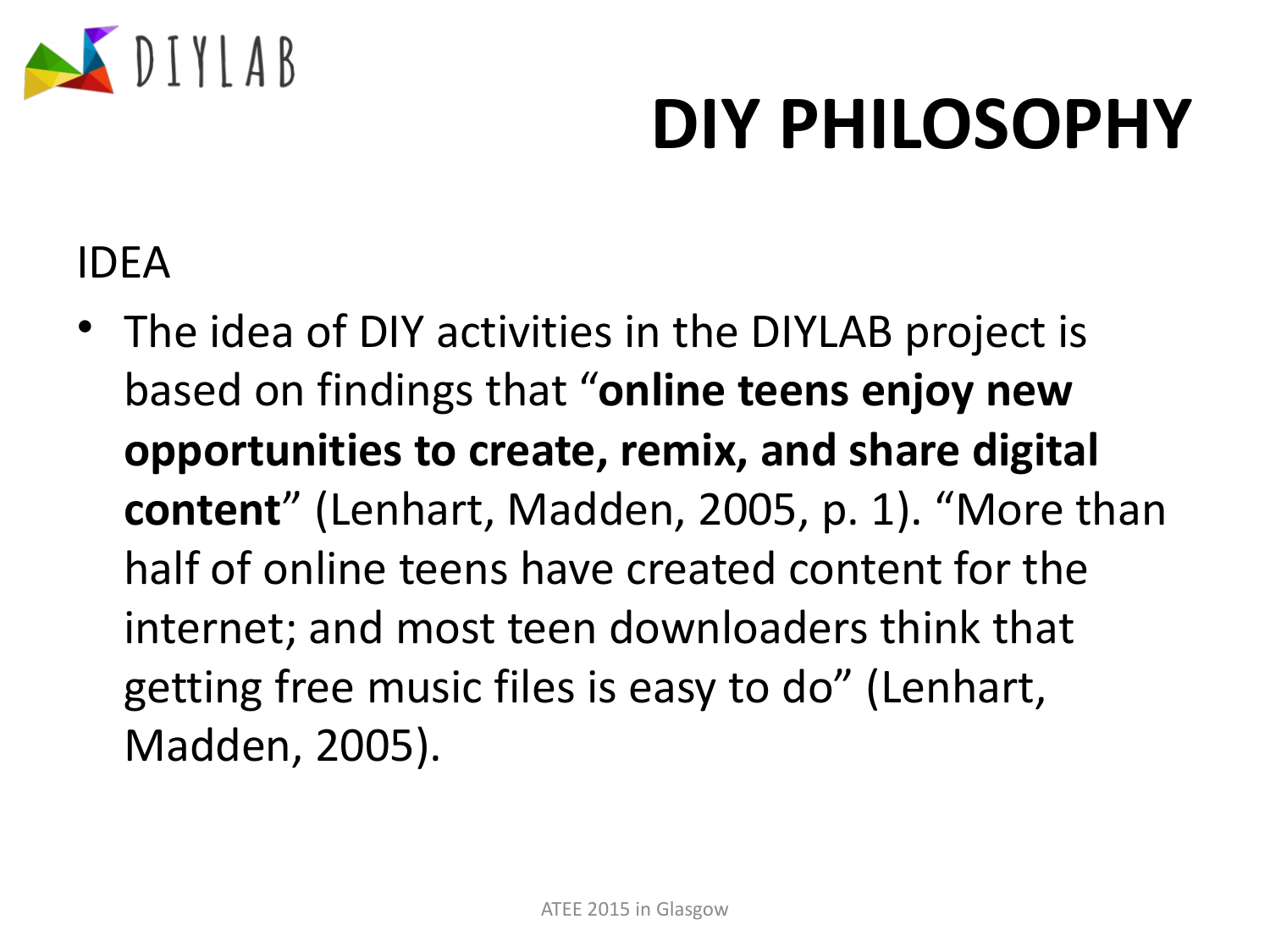

# **DIY PHILOSOPHY**

### IDEA

• The idea of DIY activities in the DIYLAB project is based on findings that "**online teens enjoy new opportunities to create, remix, and share digital content**" (Lenhart, Madden, 2005, p. 1). "More than half of online teens have created content for the internet; and most teen downloaders think that getting free music files is easy to do" (Lenhart, Madden, 2005).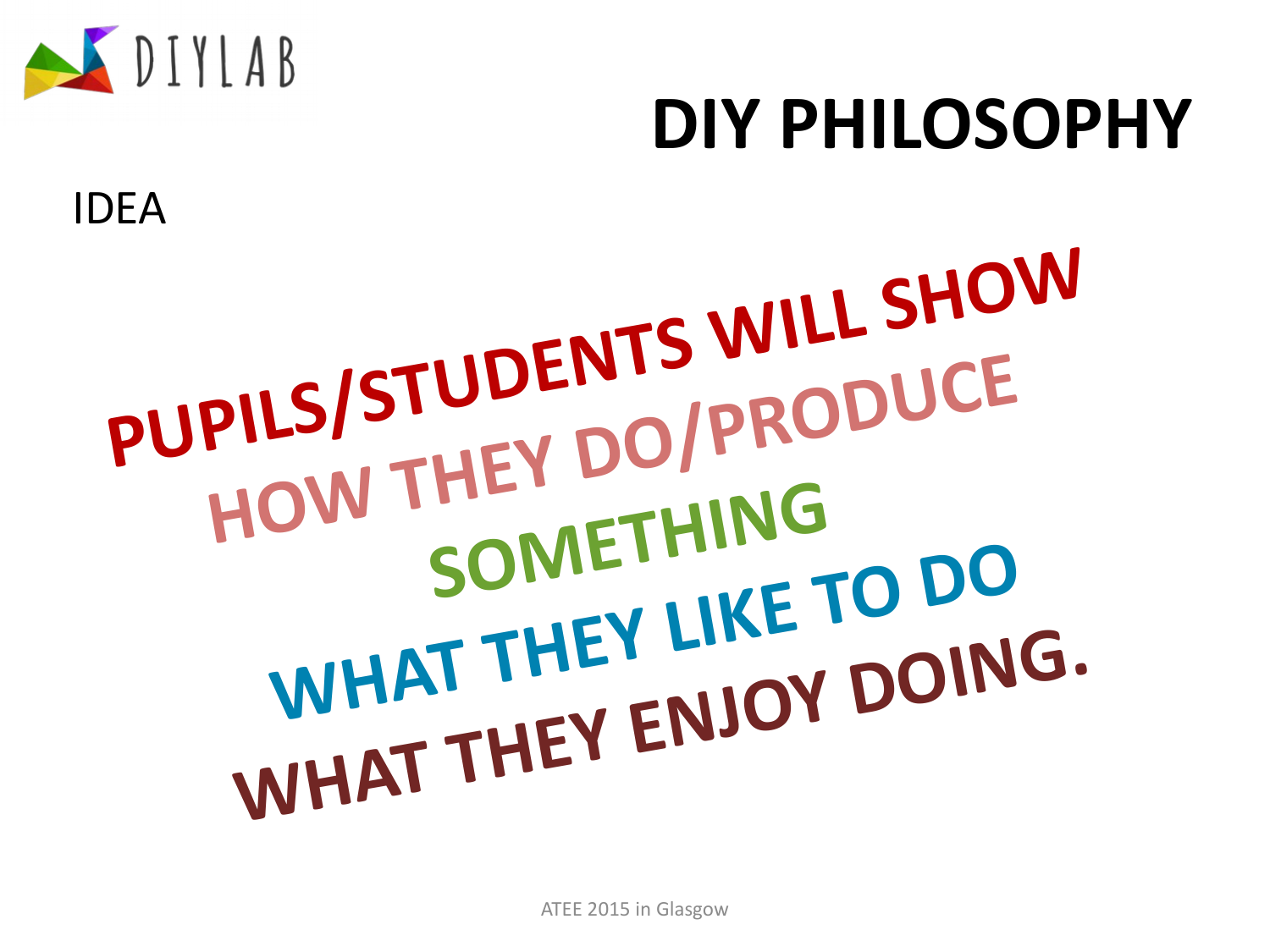

# **PUPILS/STUDENTS WILL SHOW HOW THEY DO/PRODUCE SOMETHING WHAT THEY LIKE TO DO WHAT THEY ENJOY DOING.**

**DIY PHILOSOPHY**

IDEA

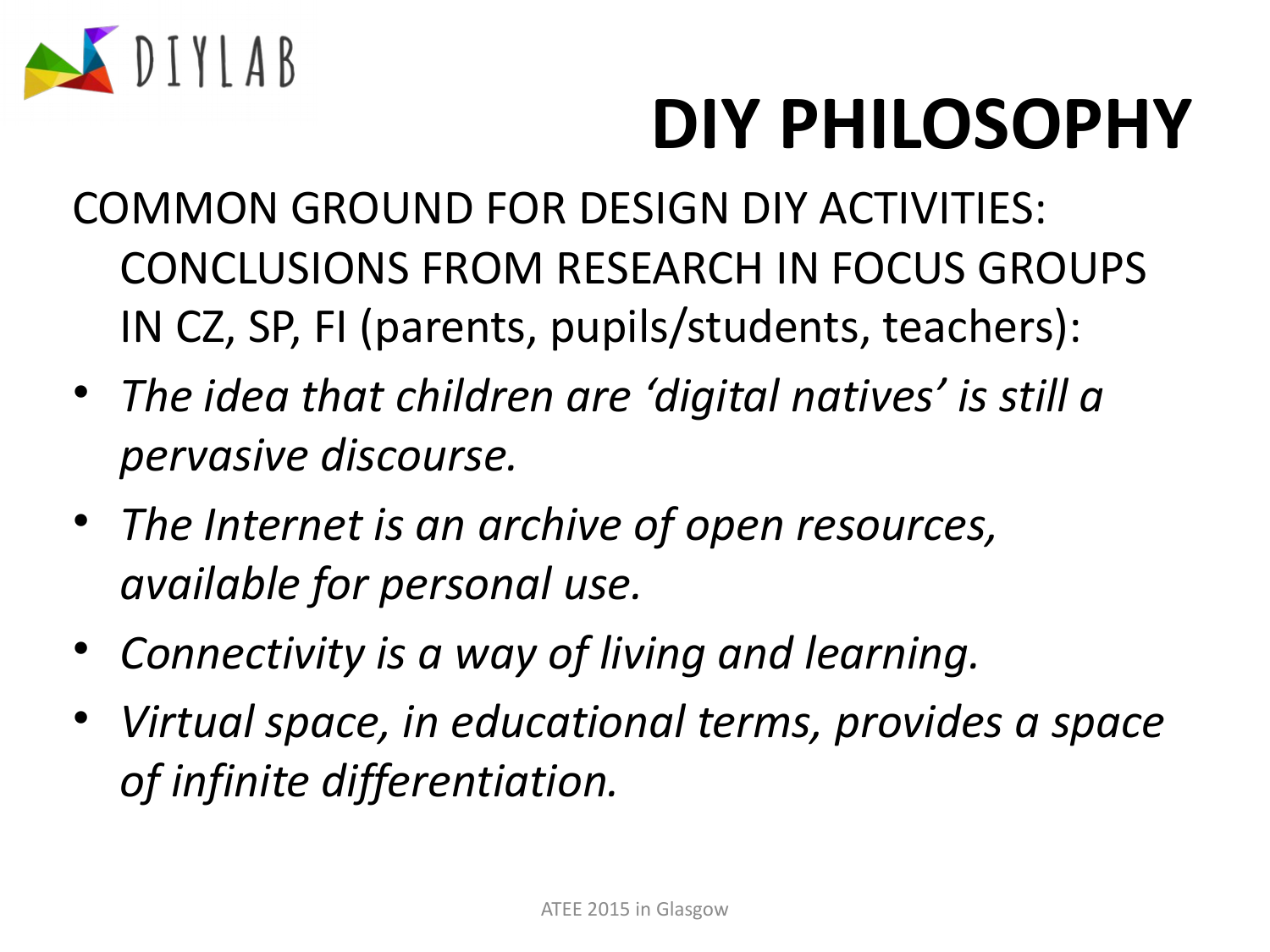

# **DIY PHILOSOPHY**

- COMMON GROUND FOR DESIGN DIY ACTIVITIES: CONCLUSIONS FROM RESEARCH IN FOCUS GROUPS IN CZ, SP, FI (parents, pupils/students, teachers):
- *The idea that children are 'digital natives' is still a pervasive discourse.*
- *The Internet is an archive of open resources, available for personal use.*
- *Connectivity is a way of living and learning.*
- *Virtual space, in educational terms, provides a space of infinite differentiation.*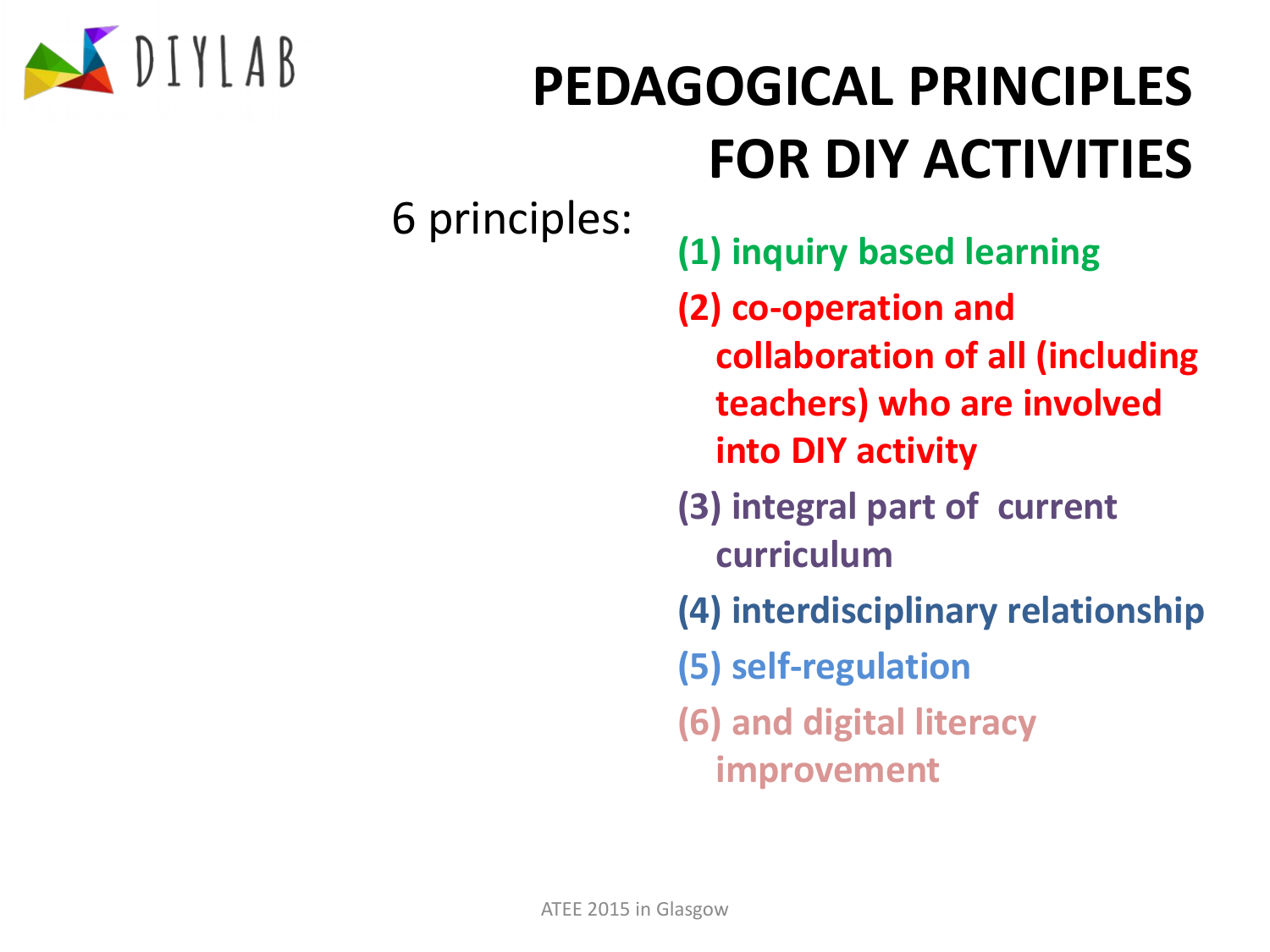

6 principles:

- **(1) inquiry based learning**
- **(2) co-operation and collaboration of all (including teachers) who are involved into DIY activity**
- **(3) integral part of current curriculum**
- **(4) interdisciplinary relationship**
- **(5) self-regulation**
- **(6) and digital literacy improvement**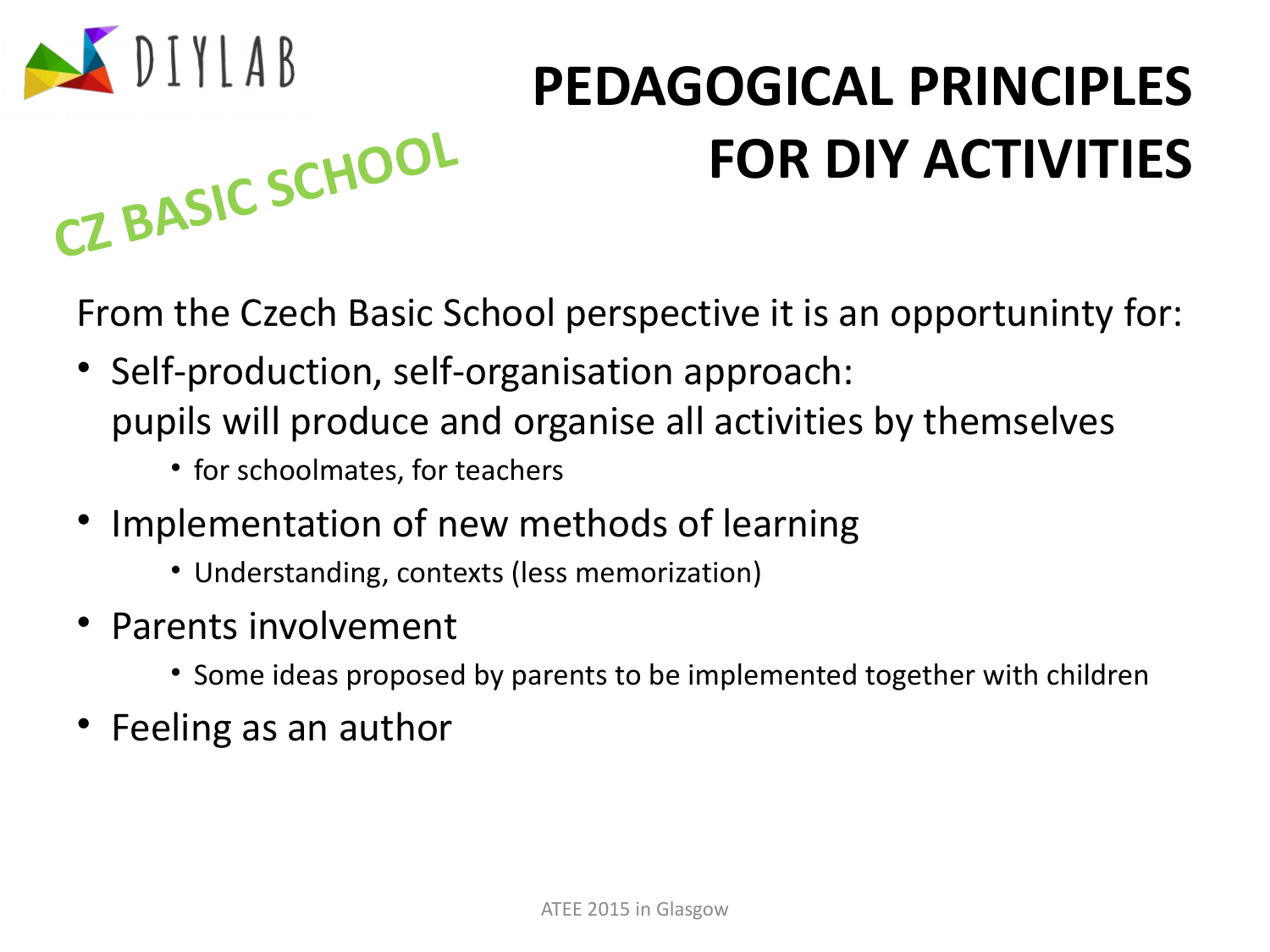

From the Czech Basic School perspective it is an opportuninty for:

- Self-production, self-organisation approach: pupils will produce and organise all activities by themselves
	- for schoolmates, for teachers
- Implementation of new methods of learning
	- Understanding, contexts (less memorization)
- Parents involvement

**CZ BASIC SCHOOL**

- Some ideas proposed by parents to be implemented together with children
- Feeling as an author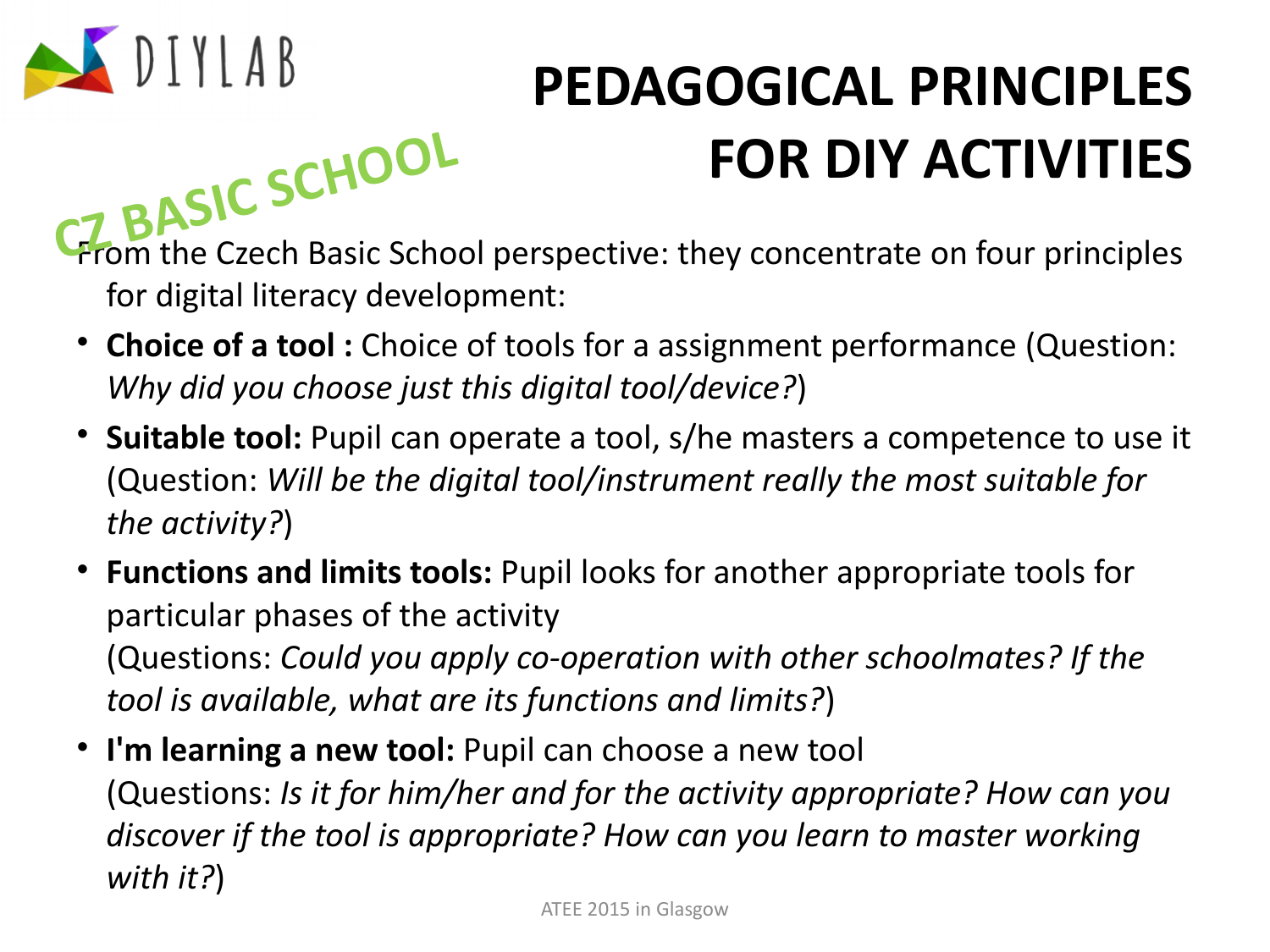

**FOR DIY ACTIVITIES**<br>**CZ BASIC SCHOOL**<br>**C C BASIC** School perspective: they concentrate on four principles for digital literacy development:

- **Choice of a tool :** Choice of tools for a assignment performance (Question: *Why did you choose just this digital tool/device?*)
- **Suitable tool:** Pupil can operate a tool, s/he masters a competence to use it (Question: *Will be the digital tool/instrument really the most suitable for the activity?*)
- **Functions and limits tools:** Pupil looks for another appropriate tools for particular phases of the activity (Questions: *Could you apply co-operation with other schoolmates? If the tool is available, what are its functions and limits?*)
- **I'm learning a new tool:** Pupil can choose a new tool (Questions: *Is it for him/her and for the activity appropriate? How can you discover if the tool is appropriate? How can you learn to master working with it?*)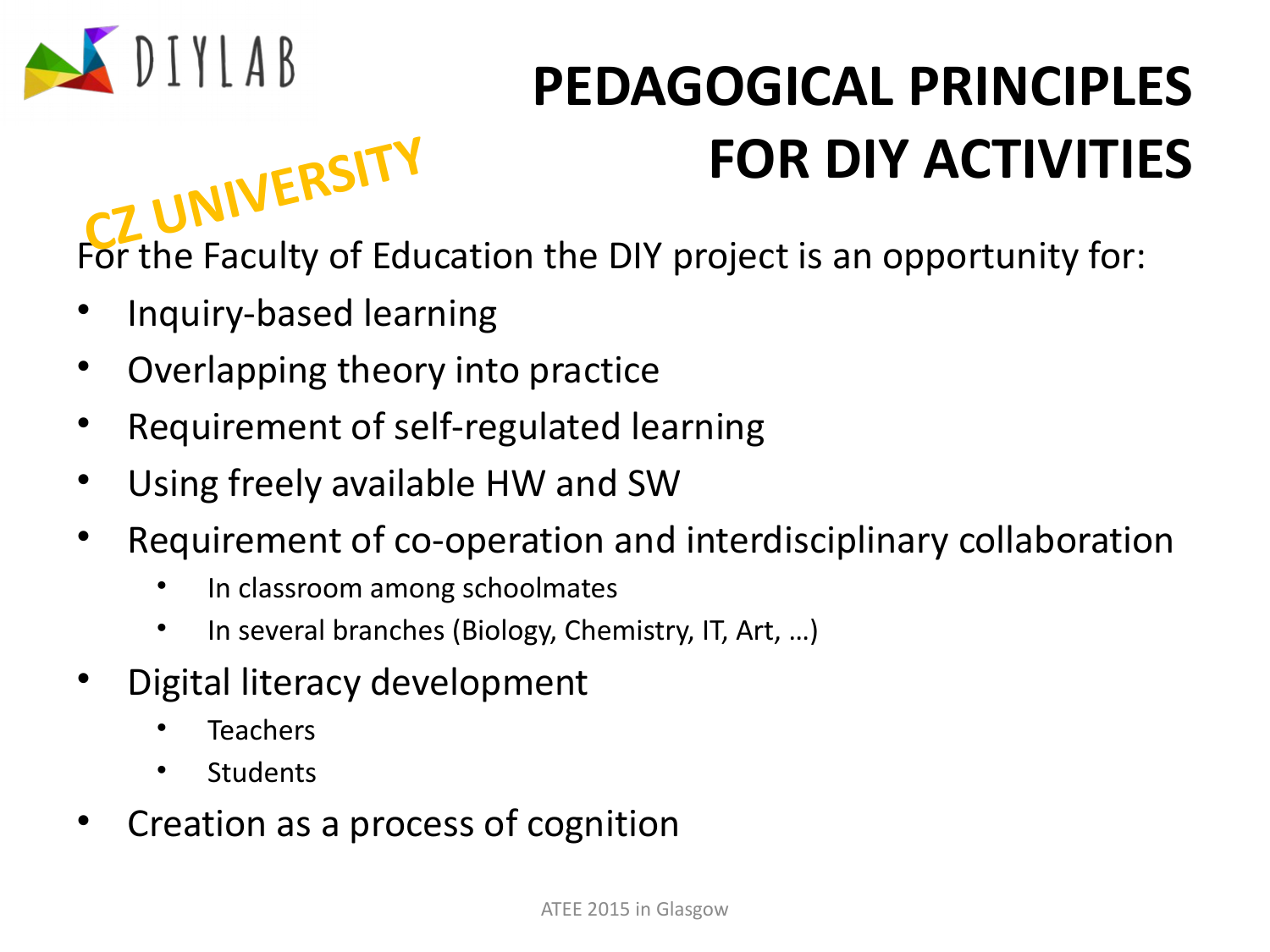

For the Faculty of Education the DIY project is an opportunity for: **CZ UNIVERSITY**

- Inquiry-based learning
- Overlapping theory into practice
- Requirement of self-regulated learning
- Using freely available HW and SW
- Requirement of co-operation and interdisciplinary collaboration
	- In classroom among schoolmates
	- In several branches (Biology, Chemistry, IT, Art, …)
- Digital literacy development
	- **Teachers**
	- **Students**
- Creation as a process of cognition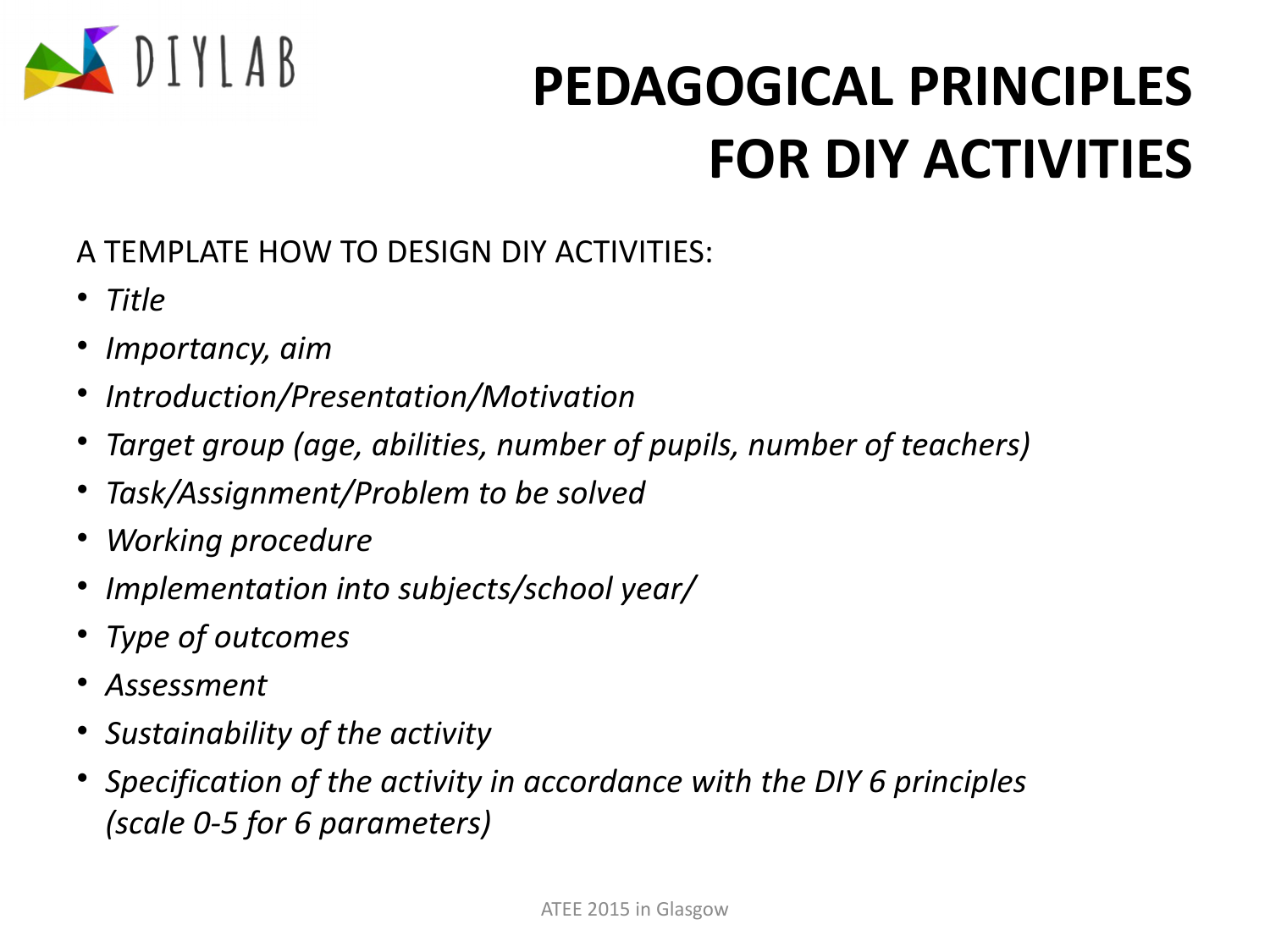

#### A TEMPLATE HOW TO DESIGN DIY ACTIVITIES:

- *Title*
- *Importancy, aim*
- *Introduction/Presentation/Motivation*
- *Target group (age, abilities, number of pupils, number of teachers)*
- *Task/Assignment/Problem to be solved*
- *Working procedure*
- *Implementation into subjects/school year/*
- *Type of outcomes*
- *Assessment*
- *Sustainability of the activity*
- *Specification of the activity in accordance with the DIY 6 principles (scale 0-5 for 6 parameters)*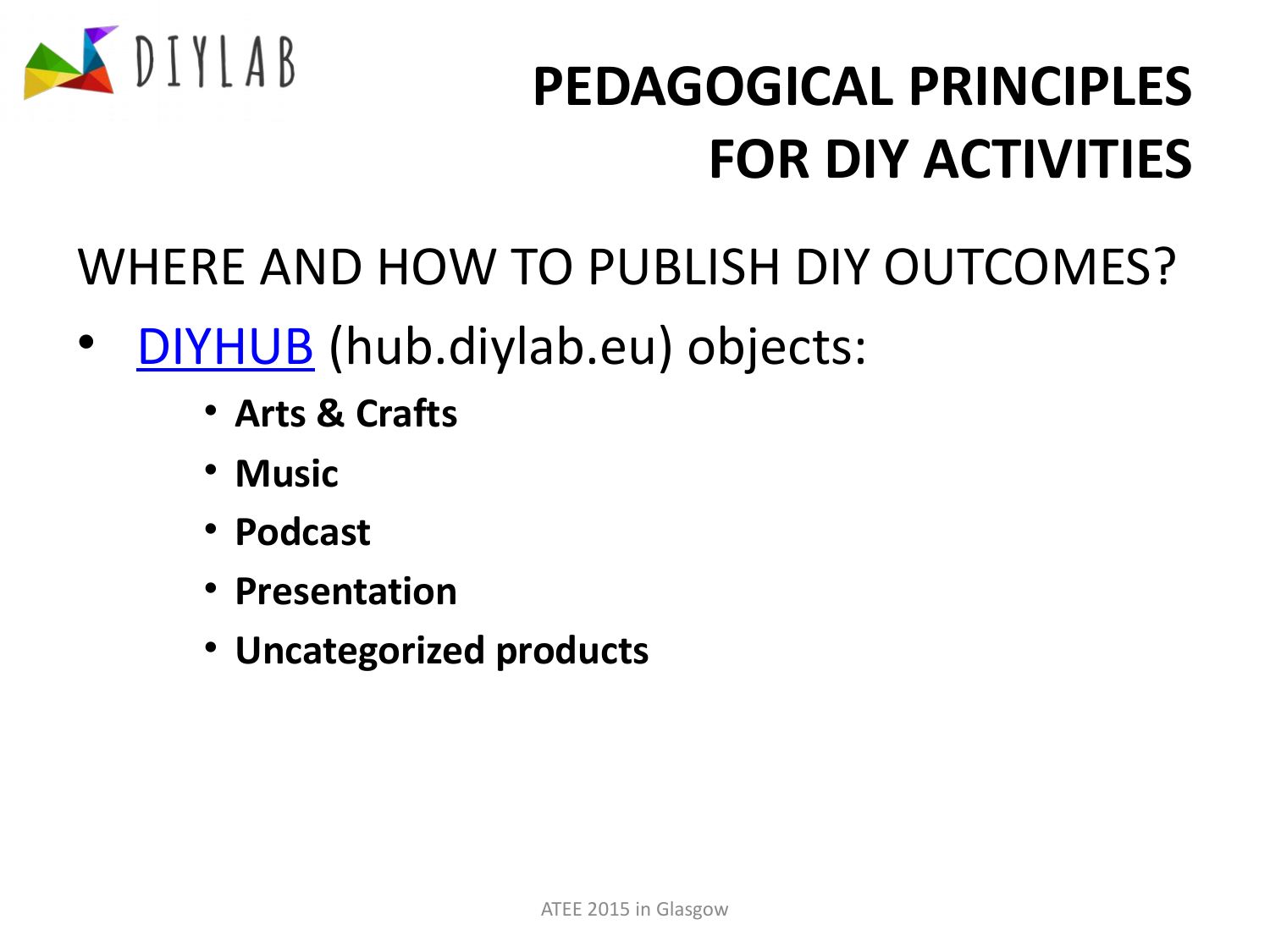

WHERE AND HOW TO PUBLISH DIY OUTCOMES?

- [DIYHUB](http://hub.diylab.eu/) (hub.diylab.eu) objects:
	- **Arts & Crafts**
	- **Music**
	- **Podcast**
	- **Presentation**
	- **Uncategorized products**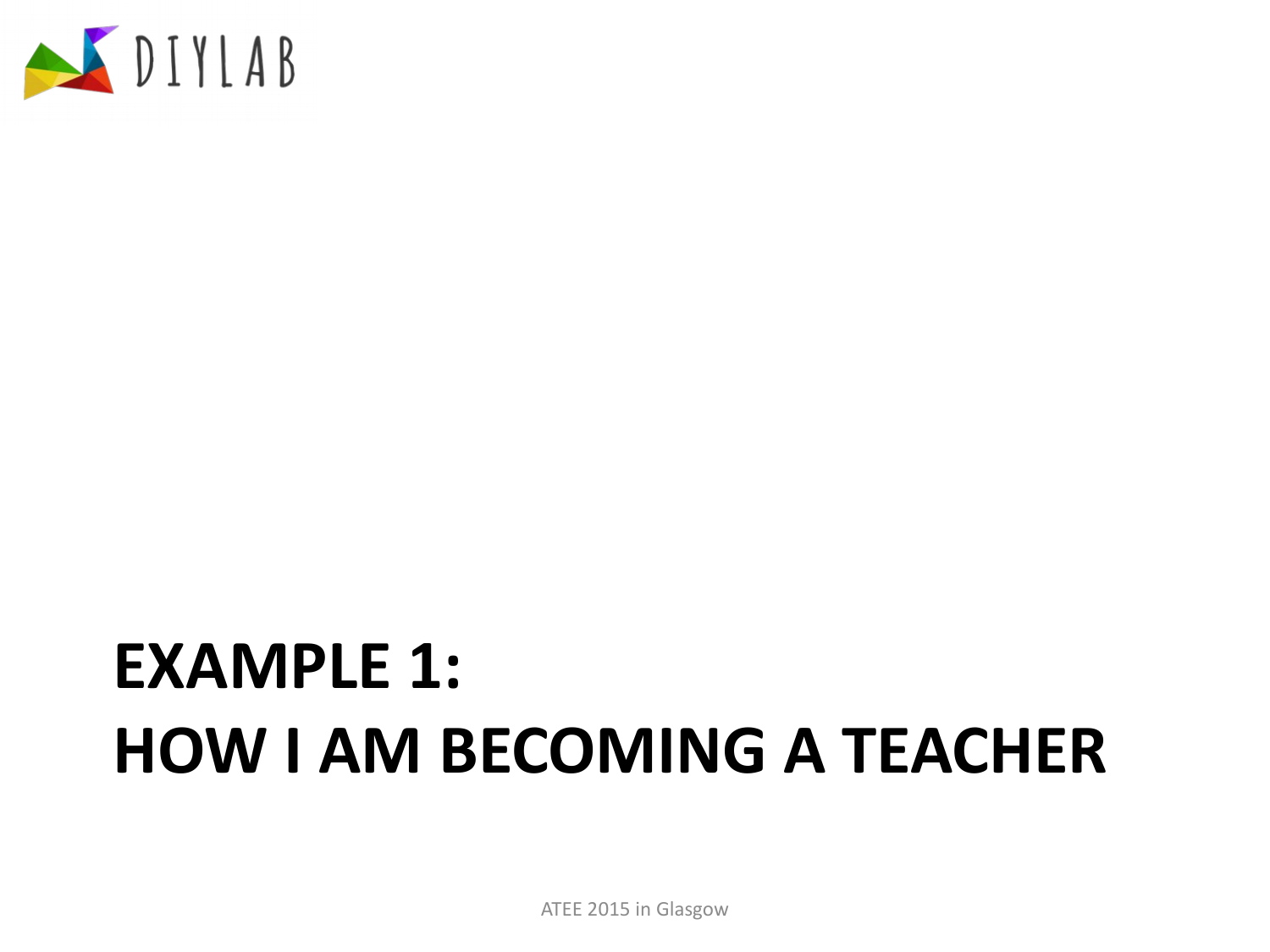

ATEE 2015 in Glasgow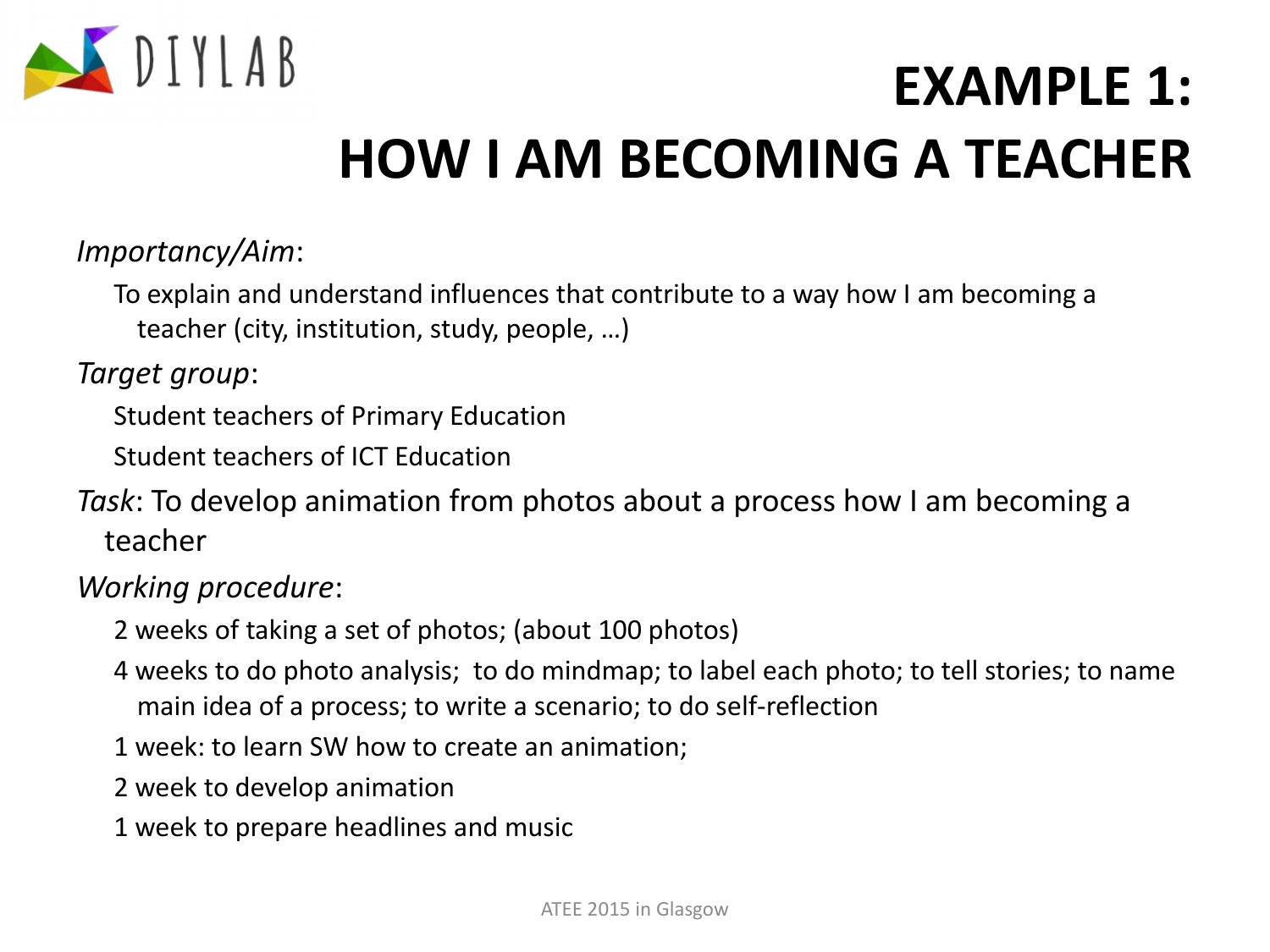

#### *Importancy/Aim*:

To explain and understand influences that contribute to a way how I am becoming a teacher (city, institution, study, people, …)

*Target group*:

Student teachers of Primary Education

Student teachers of ICT Education

*Task*: To develop animation from photos about a process how I am becoming a teacher

#### *Working procedure*:

- 2 weeks of taking a set of photos; (about 100 photos)
- 4 weeks to do photo analysis; to do mindmap; to label each photo; to tell stories; to name main idea of a process; to write a scenario; to do self-reflection
- 1 week: to learn SW how to create an animation;
- 2 week to develop animation
- 1 week to prepare headlines and music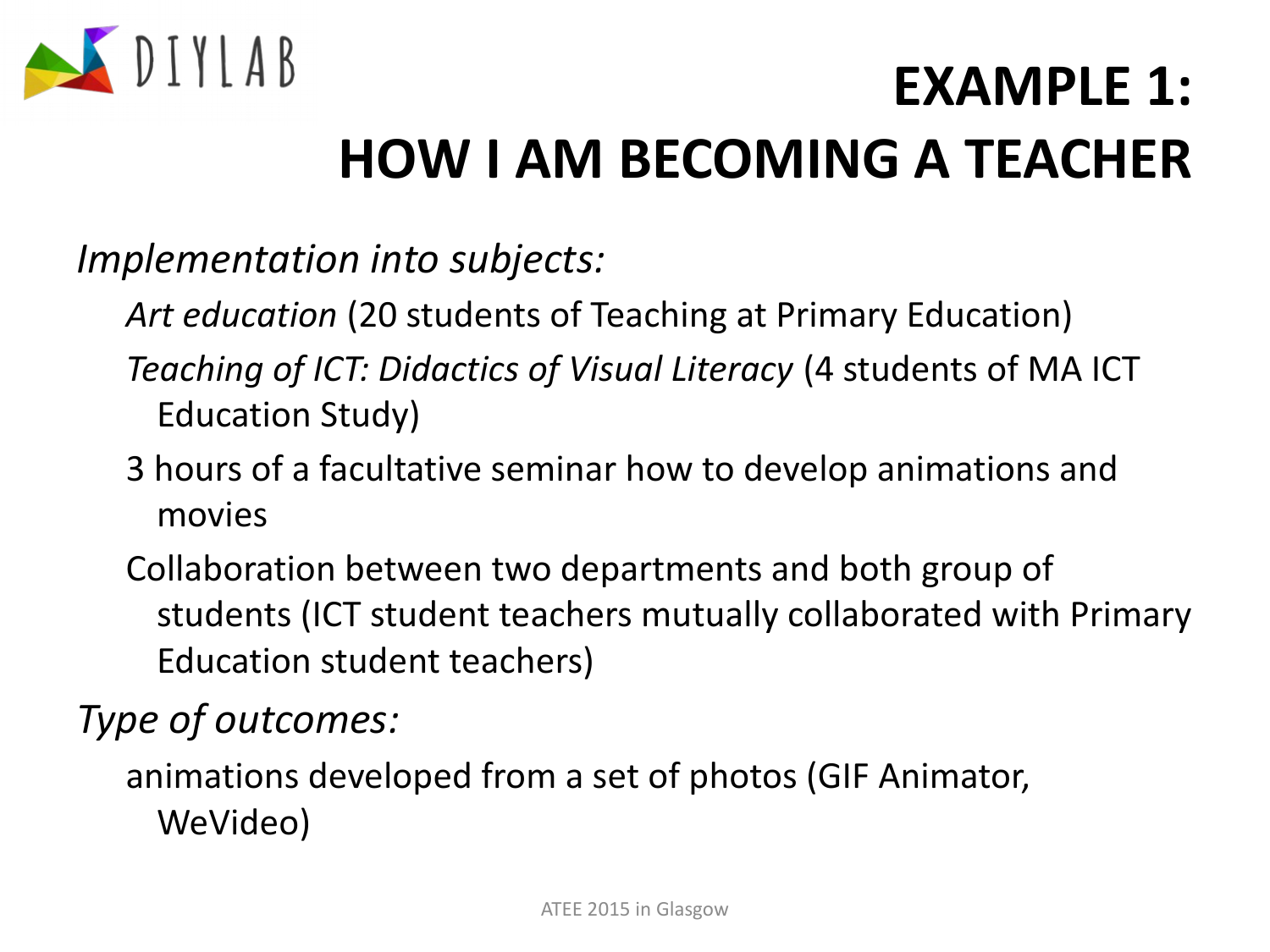

*Implementation into subjects:*

*Art education* (20 students of Teaching at Primary Education) *Teaching of ICT: Didactics of Visual Literacy* (4 students of MA ICT Education Study)

- 3 hours of a facultative seminar how to develop animations and movies
- Collaboration between two departments and both group of students (ICT student teachers mutually collaborated with Primary Education student teachers)

*Type of outcomes:*

animations developed from a set of photos (GIF Animator, WeVideo)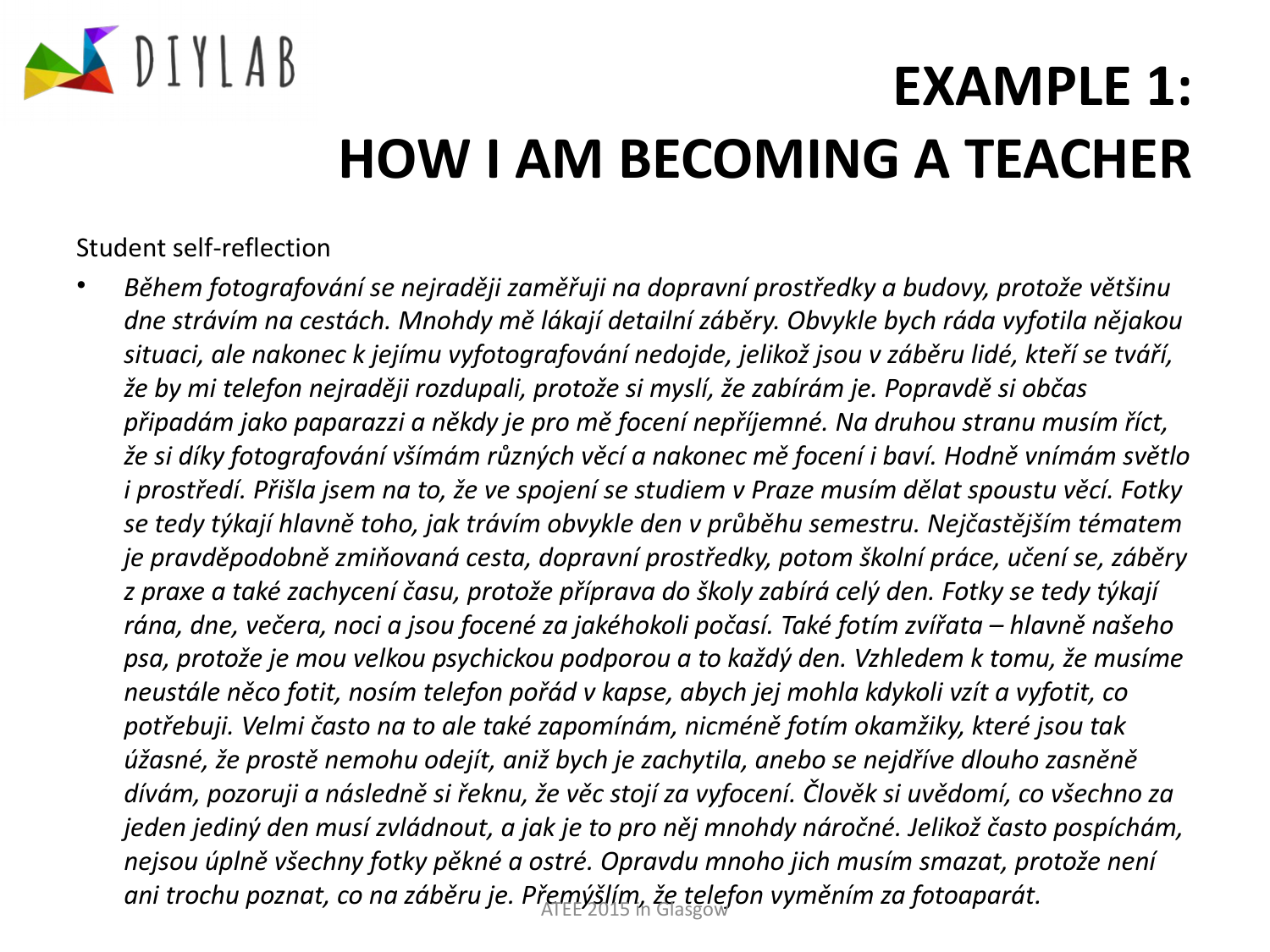

Student self-reflection

• *Během fotografování se nejraději zaměřuji na dopravní prostředky a budovy, protože většinu dne strávím na cestách. Mnohdy mě lákají detailní záběry. Obvykle bych ráda vyfotila nějakou situaci, ale nakonec k jejímu vyfotografování nedojde, jelikož jsou v záběru lidé, kteří se tváří, že by mi telefon nejraději rozdupali, protože si myslí, že zabírám je. Popravdě si občas připadám jako paparazzi a někdy je pro mě focení nepříjemné. Na druhou stranu musím říct, že si díky fotografování všímám různých věcí a nakonec mě focení i baví. Hodně vnímám světlo i prostředí. Přišla jsem na to, že ve spojení se studiem v Praze musím dělat spoustu věcí. Fotky se tedy týkají hlavně toho, jak trávím obvykle den v průběhu semestru. Nejčastějším tématem je pravděpodobně zmiňovaná cesta, dopravní prostředky, potom školní práce, učení se, záběry z praxe a také zachycení času, protože příprava do školy zabírá celý den. Fotky se tedy týkají rána, dne, večera, noci a jsou focené za jakéhokoli počasí. Také fotím zvířata – hlavně našeho psa, protože je mou velkou psychickou podporou a to každý den. Vzhledem k tomu, že musíme neustále něco fotit, nosím telefon pořád v kapse, abych jej mohla kdykoli vzít a vyfotit, co potřebuji. Velmi často na to ale také zapomínám, nicméně fotím okamžiky, které jsou tak úžasné, že prostě nemohu odejít, aniž bych je zachytila, anebo se nejdříve dlouho zasněně dívám, pozoruji a následně si řeknu, že věc stojí za vyfocení. Člověk si uvědomí, co všechno za jeden jediný den musí zvládnout, a jak je to pro něj mnohdy náročné. Jelikož často pospíchám, nejsou úplně všechny fotky pěkné a ostré. Opravdu mnoho jich musím smazat, protože není*  ani trochu poznat, co na záběru je. Přemýšlím, že telefon vyměním za fotoaparát.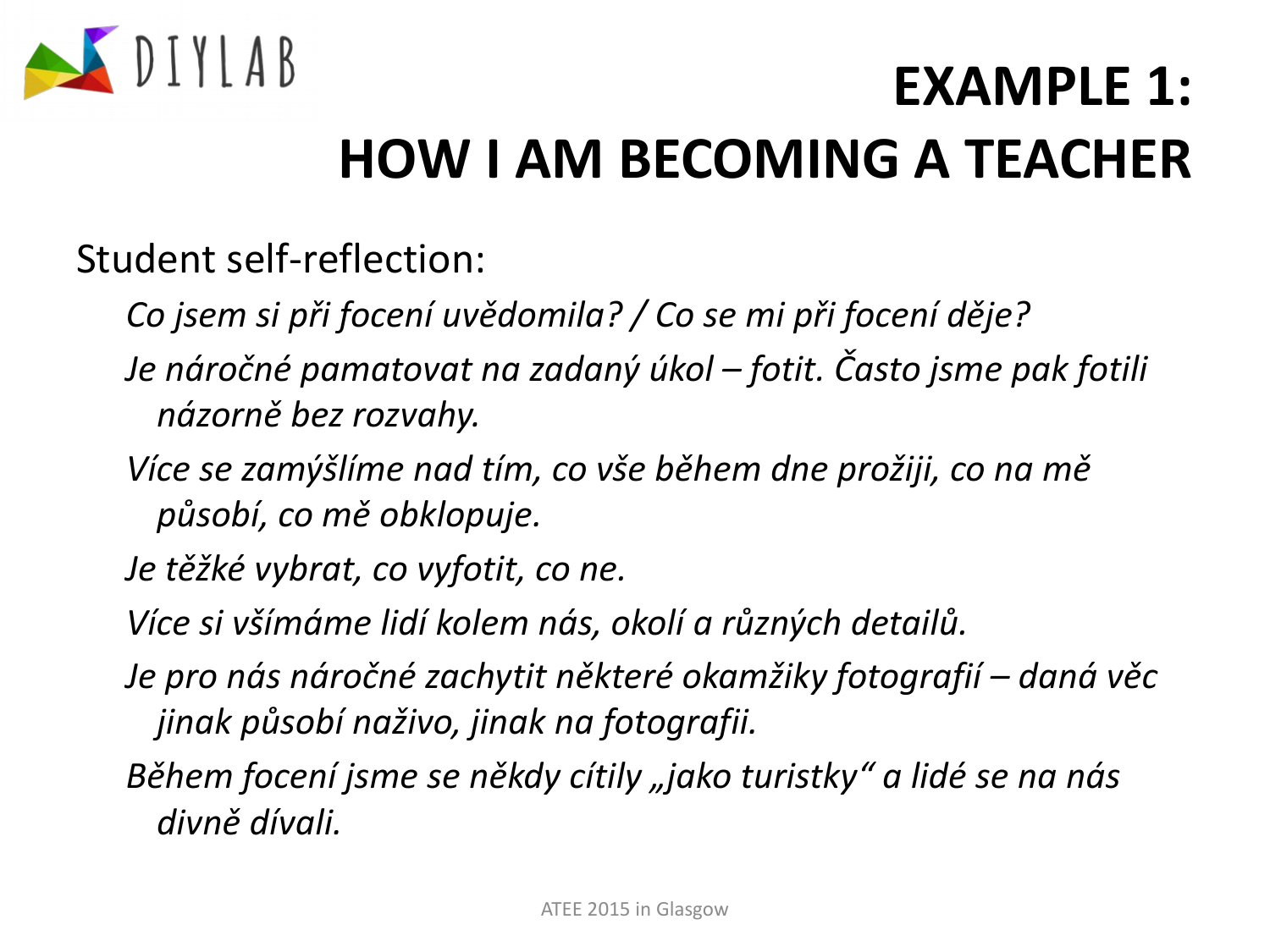

Student self-reflection:

*Co jsem si při focení uvědomila? / Co se mi při focení děje?*

- *Je náročné pamatovat na zadaný úkol fotit. Často jsme pak fotili názorně bez rozvahy.*
- *Více se zamýšlíme nad tím, co vše během dne prožiji, co na mě působí, co mě obklopuje.*

*Je těžké vybrat, co vyfotit, co ne.*

*Více si všímáme lidí kolem nás, okolí a různých detailů.*

- *Je pro nás náročné zachytit některé okamžiky fotografií daná věc jinak působí naživo, jinak na fotografii.*
- Během focení jsme se někdy cítily "jako turistky" a lidé se na nás *divně dívali.*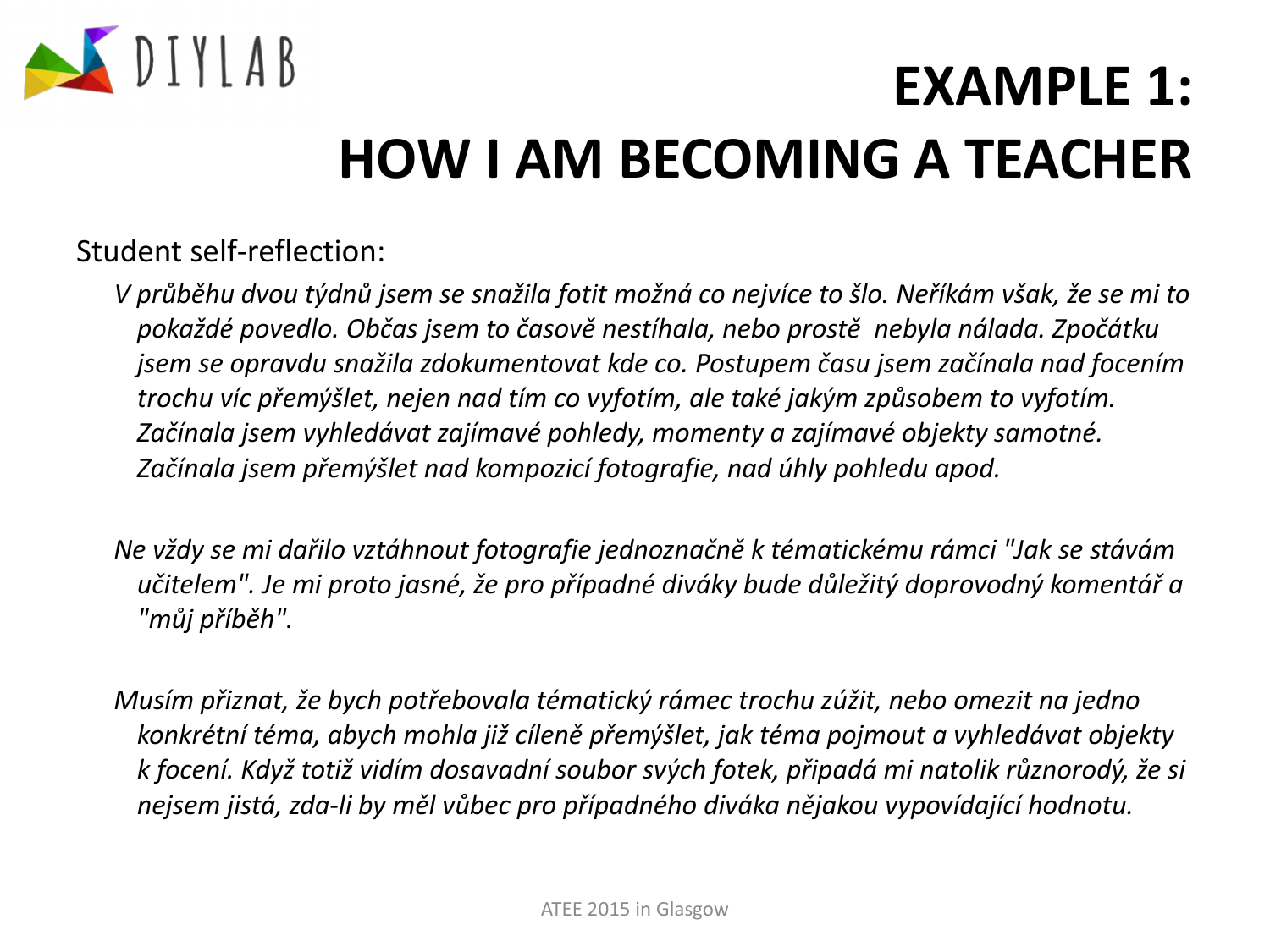

#### Student self-reflection:

*V průběhu dvou týdnů jsem se snažila fotit možná co nejvíce to šlo. Neříkám však, že se mi to pokaždé povedlo. Občas jsem to časově nestíhala, nebo prostě nebyla nálada. Zpočátku jsem se opravdu snažila zdokumentovat kde co. Postupem času jsem začínala nad focením trochu víc přemýšlet, nejen nad tím co vyfotím, ale také jakým způsobem to vyfotím. Začínala jsem vyhledávat zajímavé pohledy, momenty a zajímavé objekty samotné. Začínala jsem přemýšlet nad kompozicí fotografie, nad úhly pohledu apod.*

*Ne vždy se mi dařilo vztáhnout fotografie jednoznačně k tématickému rámci "Jak se stávám učitelem". Je mi proto jasné, že pro případné diváky bude důležitý doprovodný komentář a "můj příběh".*

*Musím přiznat, že bych potřebovala tématický rámec trochu zúžit, nebo omezit na jedno konkrétní téma, abych mohla již cíleně přemýšlet, jak téma pojmout a vyhledávat objekty k focení. Když totiž vidím dosavadní soubor svých fotek, připadá mi natolik různorodý, že si nejsem jistá, zda-li by měl vůbec pro případného diváka nějakou vypovídající hodnotu.*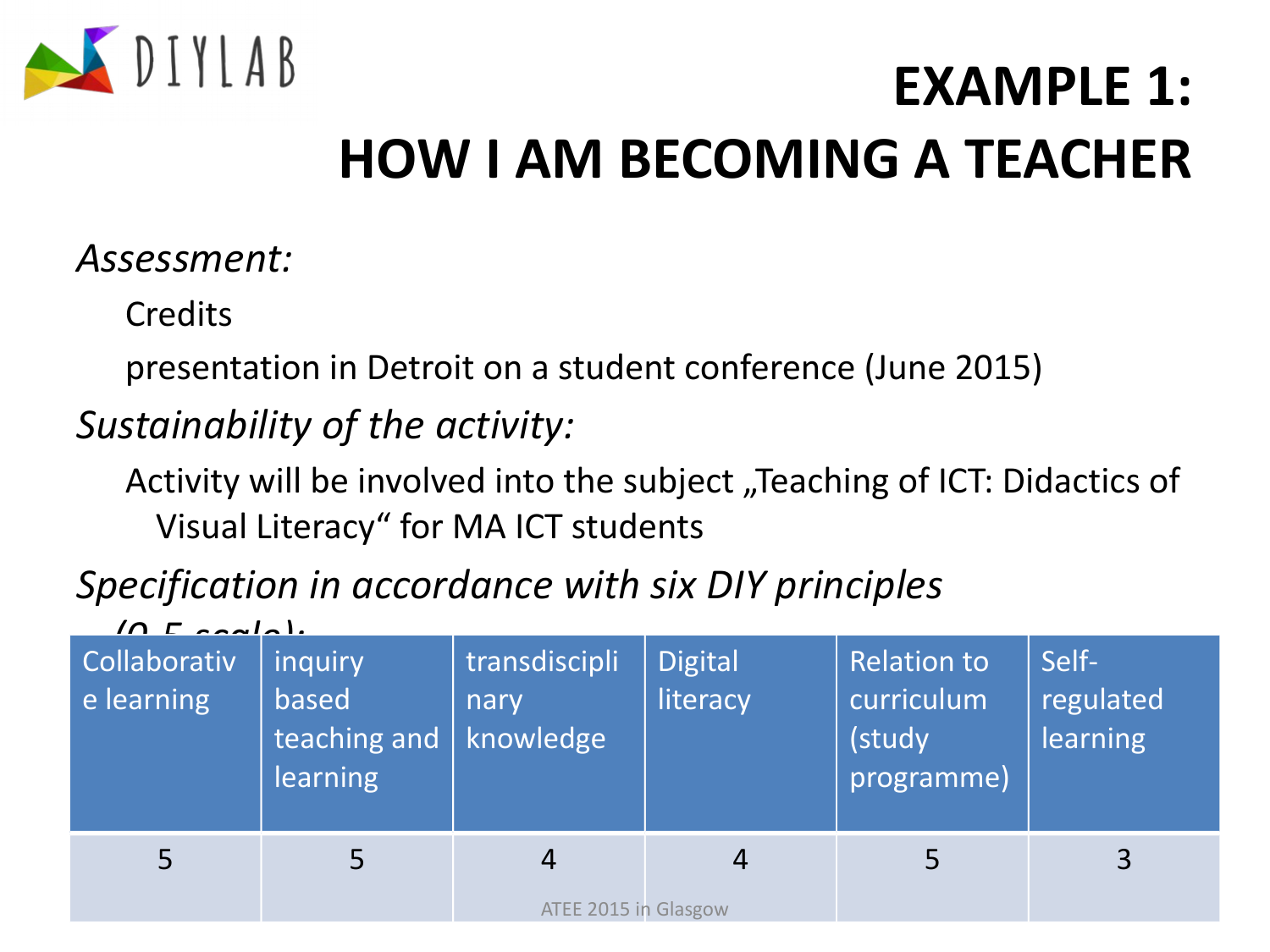

#### *Assessment:*

**Credits** 

presentation in Detroit on a student conference (June 2015)

### *Sustainability of the activity:*

Activity will be involved into the subject "Teaching of ICT: Didactics of Visual Literacy" for MA ICT students

### *Specification in accordance with six DIY principles*

| $10 F$ coale).<br><b>Collaborativ</b><br>e learning | inquiry<br>based<br>teaching and<br><b>learning</b> | transdiscipli<br>nary<br>knowledge     | <b>Digital</b><br>literacy | <b>Relation to</b><br>curriculum<br>(study<br>programme) | Self-<br>regulated<br><b>learning</b> |
|-----------------------------------------------------|-----------------------------------------------------|----------------------------------------|----------------------------|----------------------------------------------------------|---------------------------------------|
|                                                     | 5                                                   | $\overline{4}$<br>ATEE 2015 in Glasgow | 4                          |                                                          | 3                                     |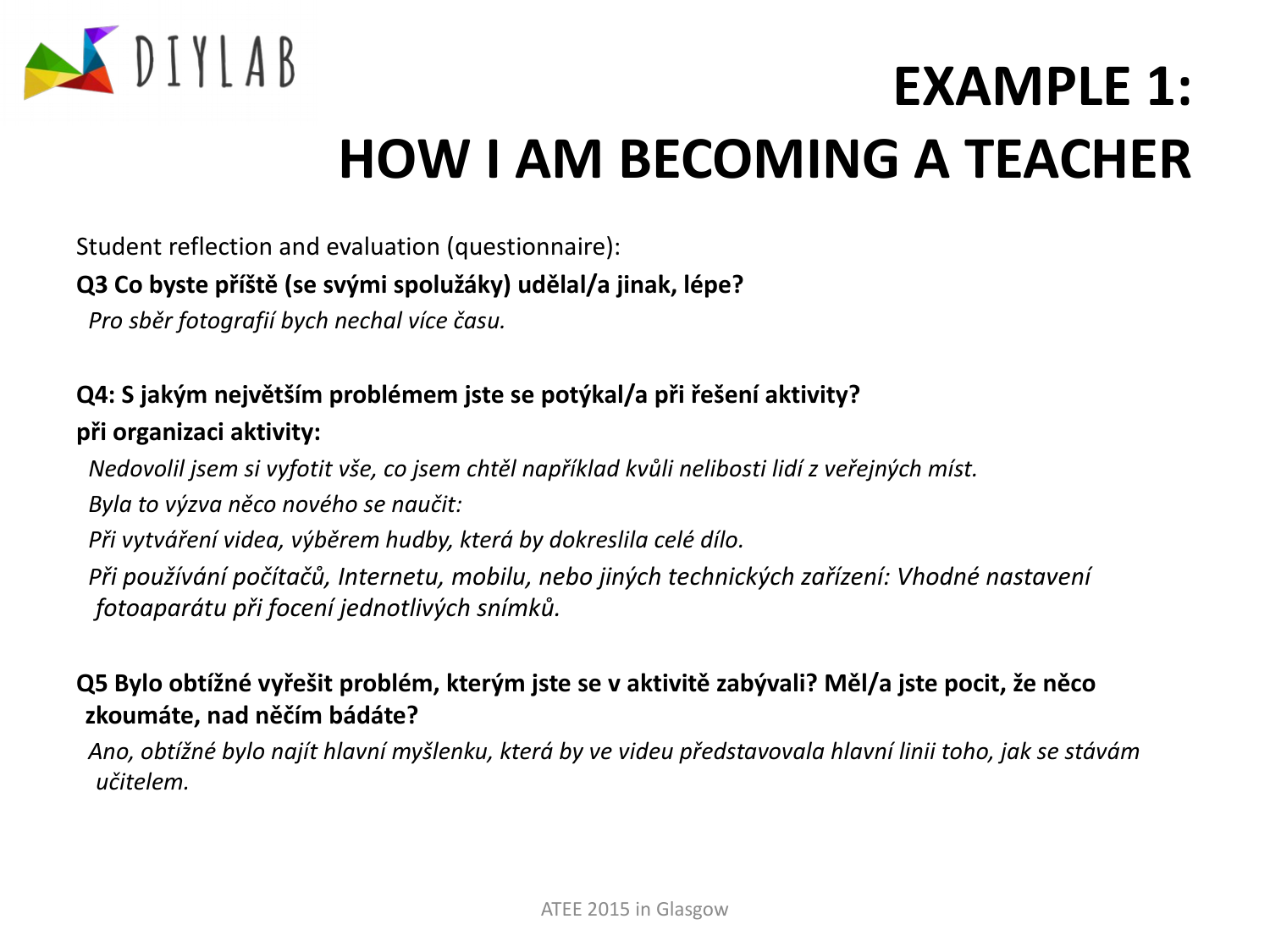

Student reflection and evaluation (questionnaire):

#### **Q3 Co byste příště (se svými spolužáky) udělal/a jinak, lépe?**

*Pro sběr fotografií bych nechal více času.*

#### **Q4: S jakým největším problémem jste se potýkal/a při řešení aktivity? při organizaci aktivity:**

*Nedovolil jsem si vyfotit vše, co jsem chtěl například kvůli nelibosti lidí z veřejných míst. Byla to výzva něco nového se naučit: Při vytváření videa, výběrem hudby, která by dokreslila celé dílo. Při používání počítačů, Internetu, mobilu, nebo jiných technických zařízení: Vhodné nastavení fotoaparátu při focení jednotlivých snímků.*

#### **Q5 Bylo obtížné vyřešit problém, kterým jste se v aktivitě zabývali? Měl/a jste pocit, že něco zkoumáte, nad něčím bádáte?**

*Ano, obtížné bylo najít hlavní myšlenku, která by ve videu představovala hlavní linii toho, jak se stávám učitelem.*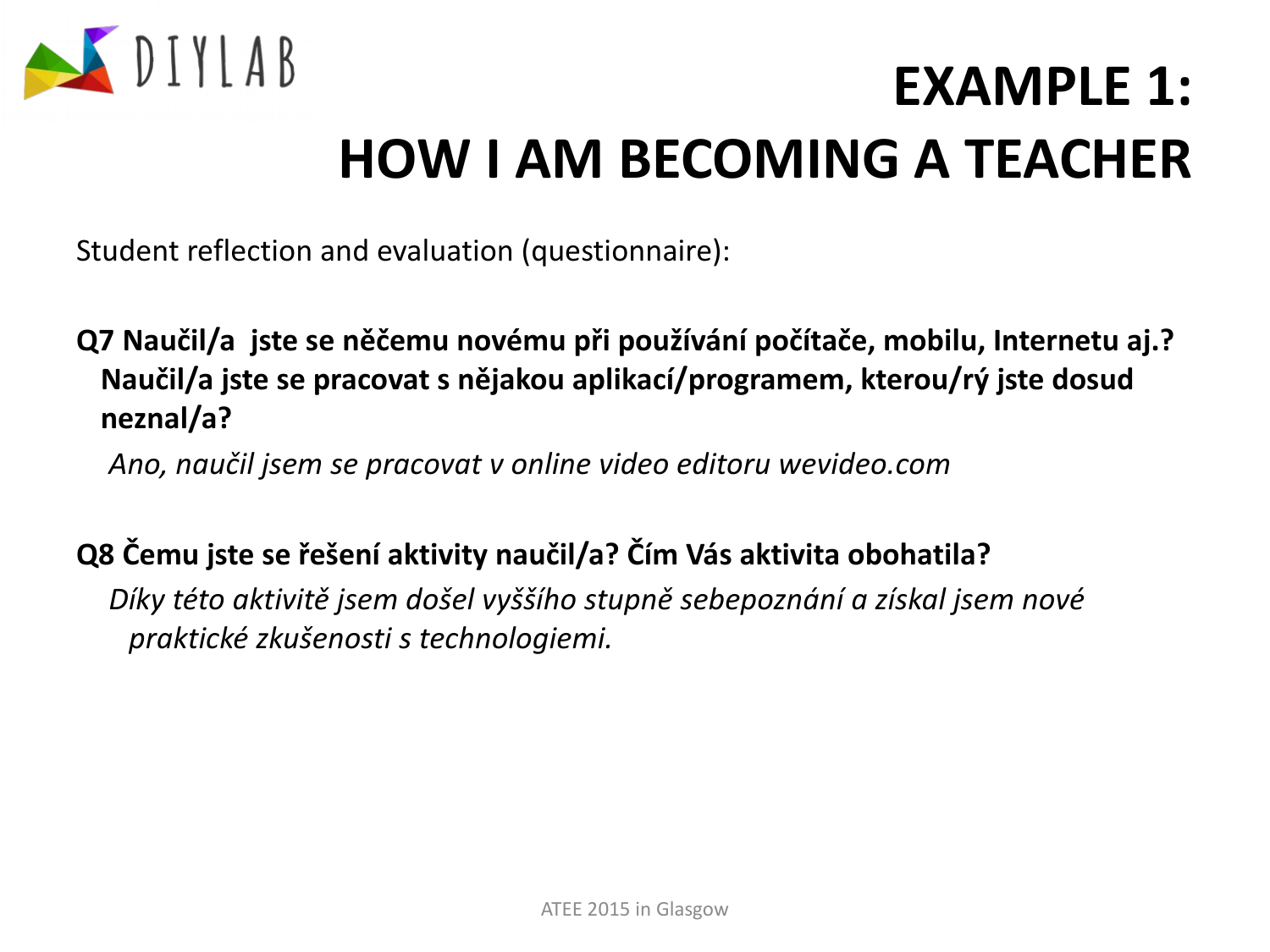

Student reflection and evaluation (questionnaire):

**Q7 Naučil/a jste se něčemu novému při používání počítače, mobilu, Internetu aj.? Naučil/a jste se pracovat s nějakou aplikací/programem, kterou/rý jste dosud neznal/a?**

*Ano, naučil jsem se pracovat v online video editoru wevideo.com*

#### **Q8 Čemu jste se řešení aktivity naučil/a? Čím Vás aktivita obohatila?**

*Díky této aktivitě jsem došel vyššího stupně sebepoznání a získal jsem nové praktické zkušenosti s technologiemi.*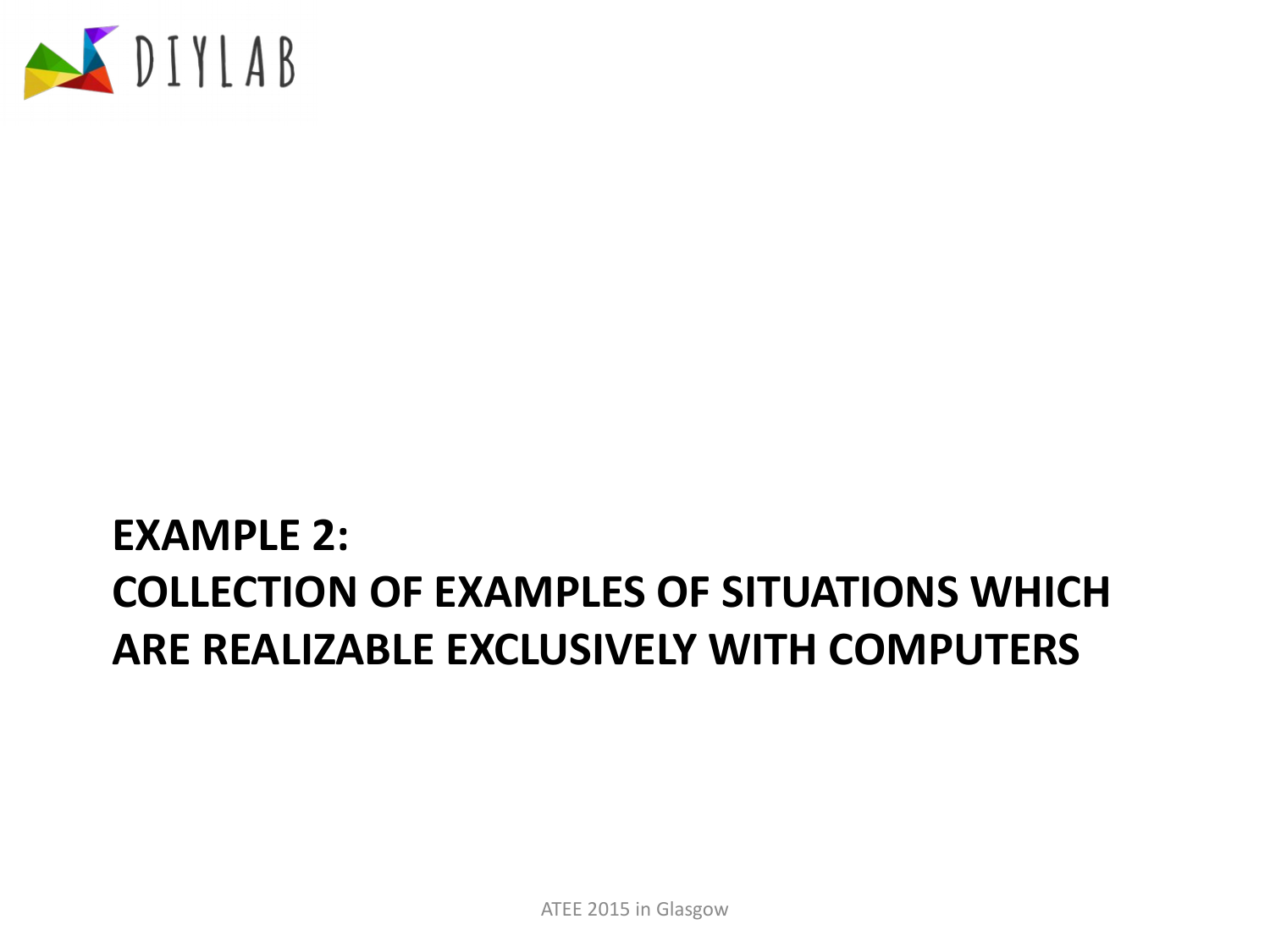

### **EXAMPLE 2: COLLECTION OF EXAMPLES OF SITUATIONS WHICH ARE REALIZABLE EXCLUSIVELY WITH COMPUTERS**

ATEE 2015 in Glasgow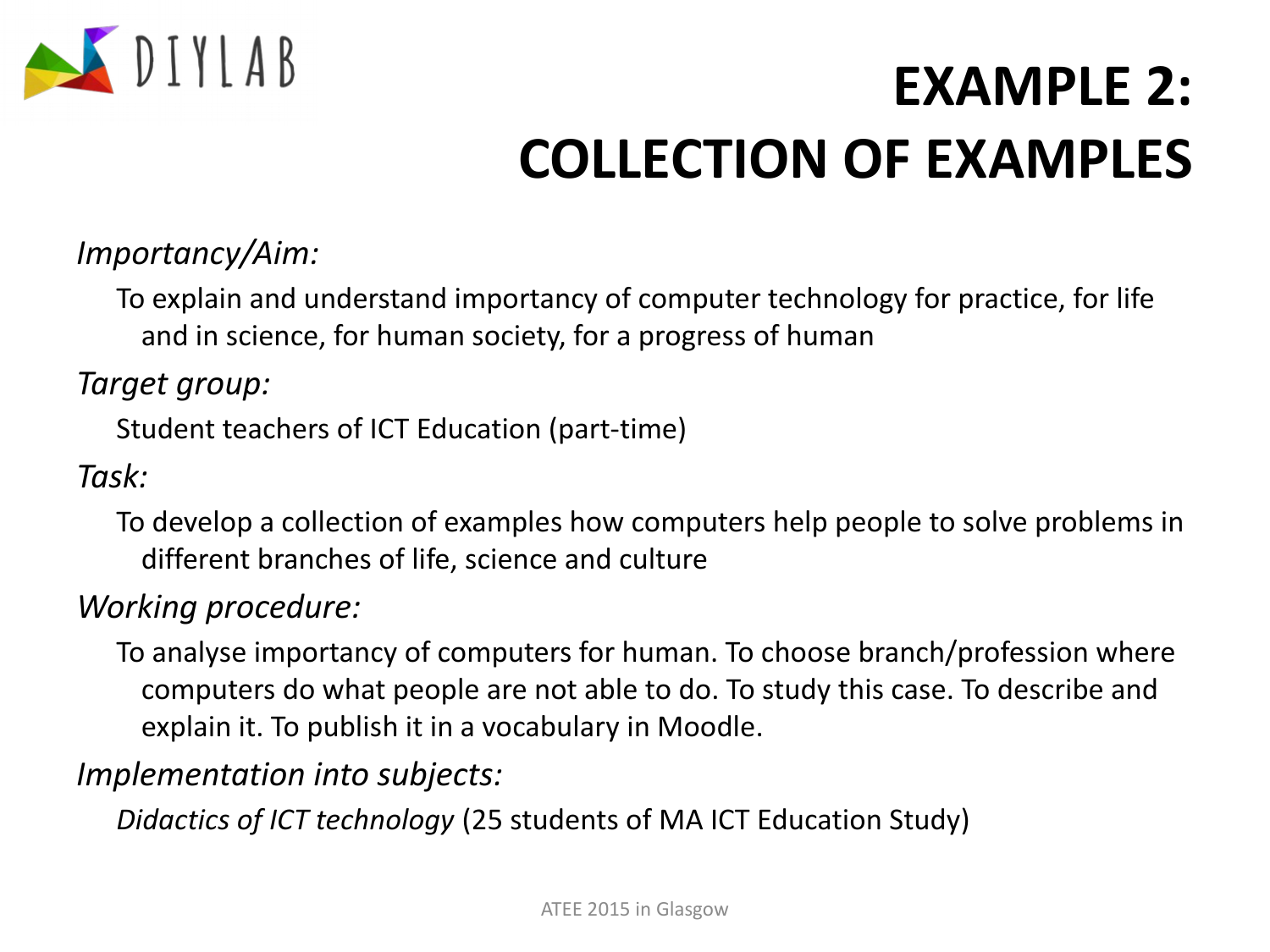

#### *Importancy/Aim:*

To explain and understand importancy of computer technology for practice, for life and in science, for human society, for a progress of human

#### *Target group:*

Student teachers of ICT Education (part-time)

#### *Task:*

To develop a collection of examples how computers help people to solve problems in different branches of life, science and culture

#### *Working procedure:*

To analyse importancy of computers for human. To choose branch/profession where computers do what people are not able to do. To study this case. To describe and explain it. To publish it in a vocabulary in Moodle.

#### *Implementation into subjects:*

*Didactics of ICT technology* (25 students of MA ICT Education Study)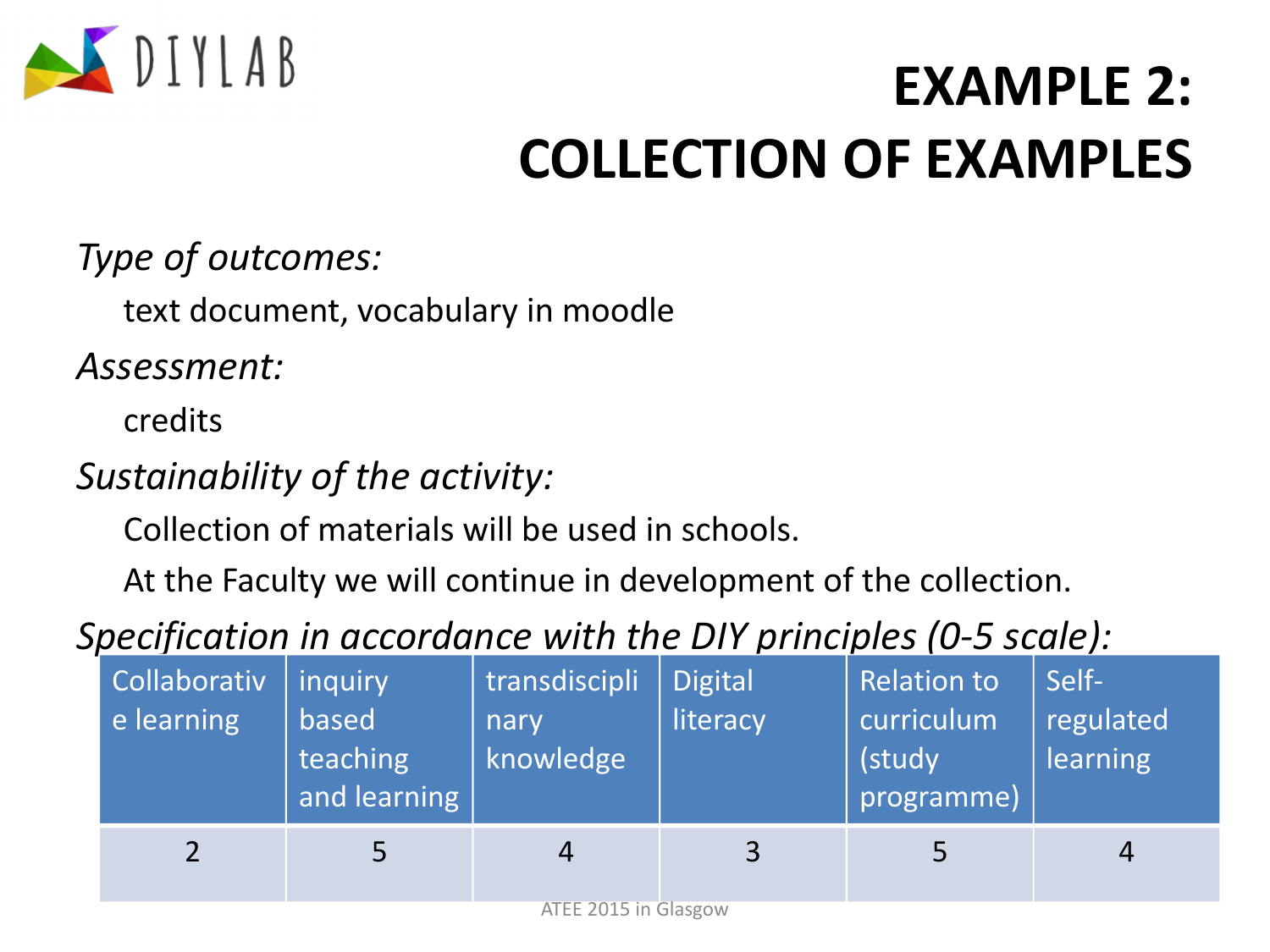

*Type of outcomes:*

text document, vocabulary in moodle

*Assessment:*

credits

### *Sustainability of the activity:*

Collection of materials will be used in schools.

At the Faculty we will continue in development of the collection.

### *Specification in accordance with the DIY principles (0-5 scale):*

| <b>Collaborativ</b><br>e learning | inquiry<br>based<br>teaching<br>and learning | transdiscipli<br>nary<br>knowledge | <b>Digital</b><br>literacy | <b>Relation to</b><br>curriculum<br>(study<br>programme) | Self-<br>regulated<br>learning |
|-----------------------------------|----------------------------------------------|------------------------------------|----------------------------|----------------------------------------------------------|--------------------------------|
|                                   |                                              | $ATEE 201E in \bigcap_{\alpha}$    | $\overline{3}$             |                                                          | 4                              |

ATEE 2015 in Glasgow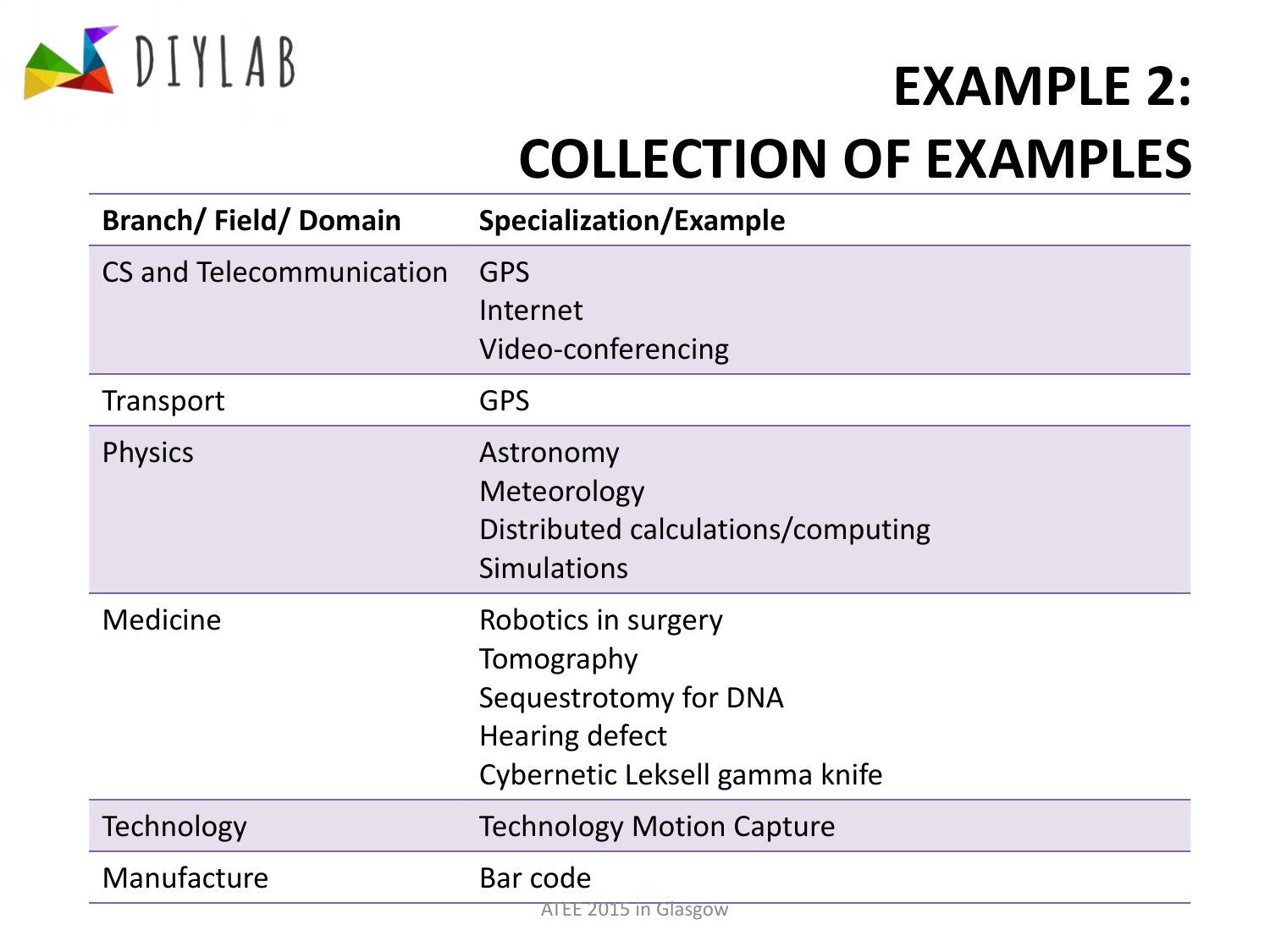

| <b>Branch/Field/Domain</b> | <b>Specialization/Example</b>                                                                                         |
|----------------------------|-----------------------------------------------------------------------------------------------------------------------|
| CS and Telecommunication   | <b>GPS</b><br>Internet<br>Video-conferencing                                                                          |
| Transport                  | <b>GPS</b>                                                                                                            |
| <b>Physics</b>             | Astronomy<br>Meteorology<br>Distributed calculations/computing<br><b>Simulations</b>                                  |
| <b>Medicine</b>            | Robotics in surgery<br>Tomography<br>Sequestrotomy for DNA<br><b>Hearing defect</b><br>Cybernetic Leksell gamma knife |
| Technology                 | <b>Technology Motion Capture</b>                                                                                      |
| Manufacture                | Bar code<br>$1115$ in Glacoou                                                                                         |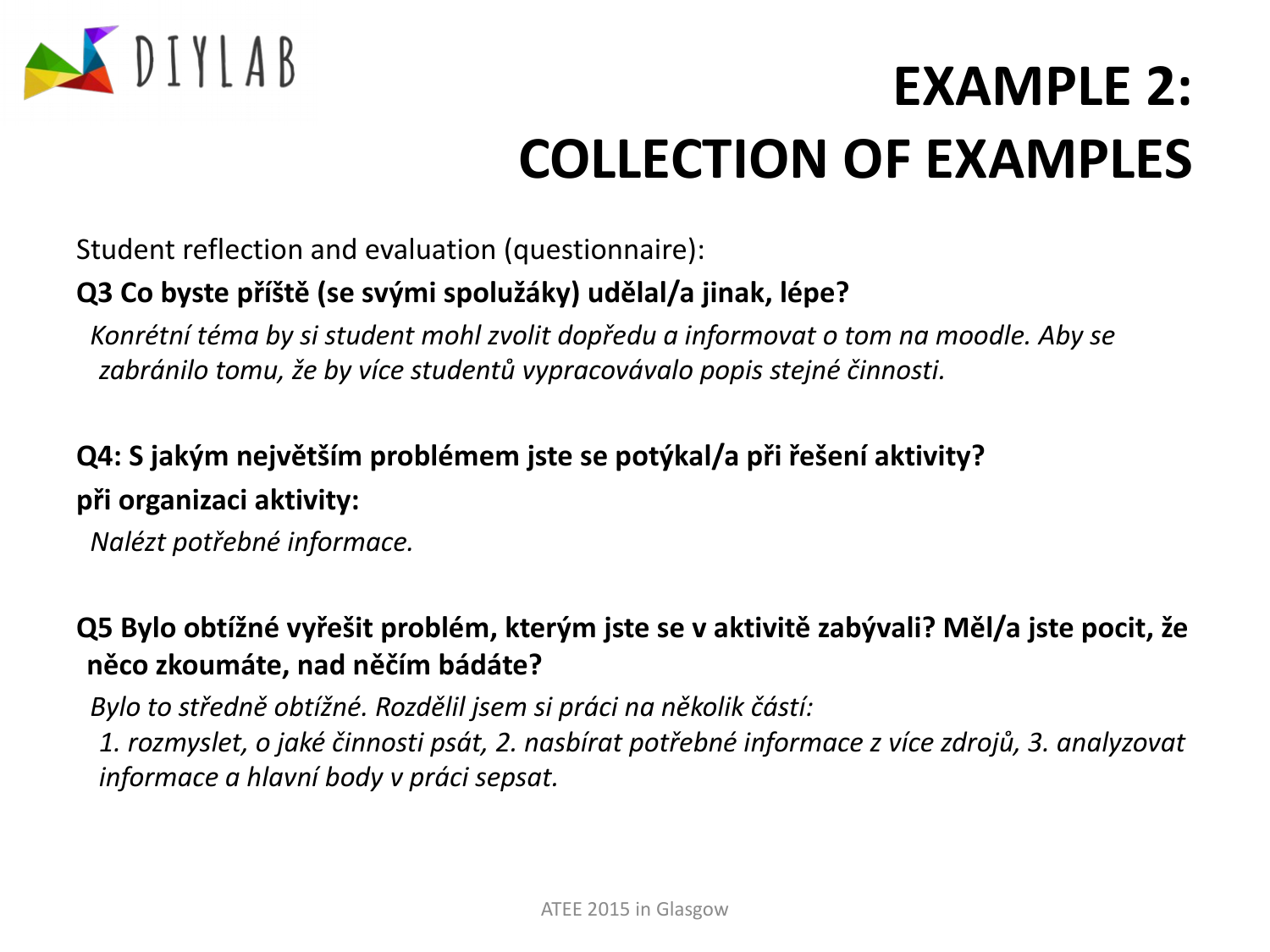

Student reflection and evaluation (questionnaire):

#### **Q3 Co byste příště (se svými spolužáky) udělal/a jinak, lépe?**

*Konrétní téma by si student mohl zvolit dopředu a informovat o tom na moodle. Aby se zabránilo tomu, že by více studentů vypracovávalo popis stejné činnosti.*

#### **Q4: S jakým největším problémem jste se potýkal/a při řešení aktivity? při organizaci aktivity:**

*Nalézt potřebné informace.*

#### **Q5 Bylo obtížné vyřešit problém, kterým jste se v aktivitě zabývali? Měl/a jste pocit, že něco zkoumáte, nad něčím bádáte?**

*Bylo to středně obtížné. Rozdělil jsem si práci na několik částí: 1. rozmyslet, o jaké činnosti psát, 2. nasbírat potřebné informace z více zdrojů, 3. analyzovat informace a hlavní body v práci sepsat.*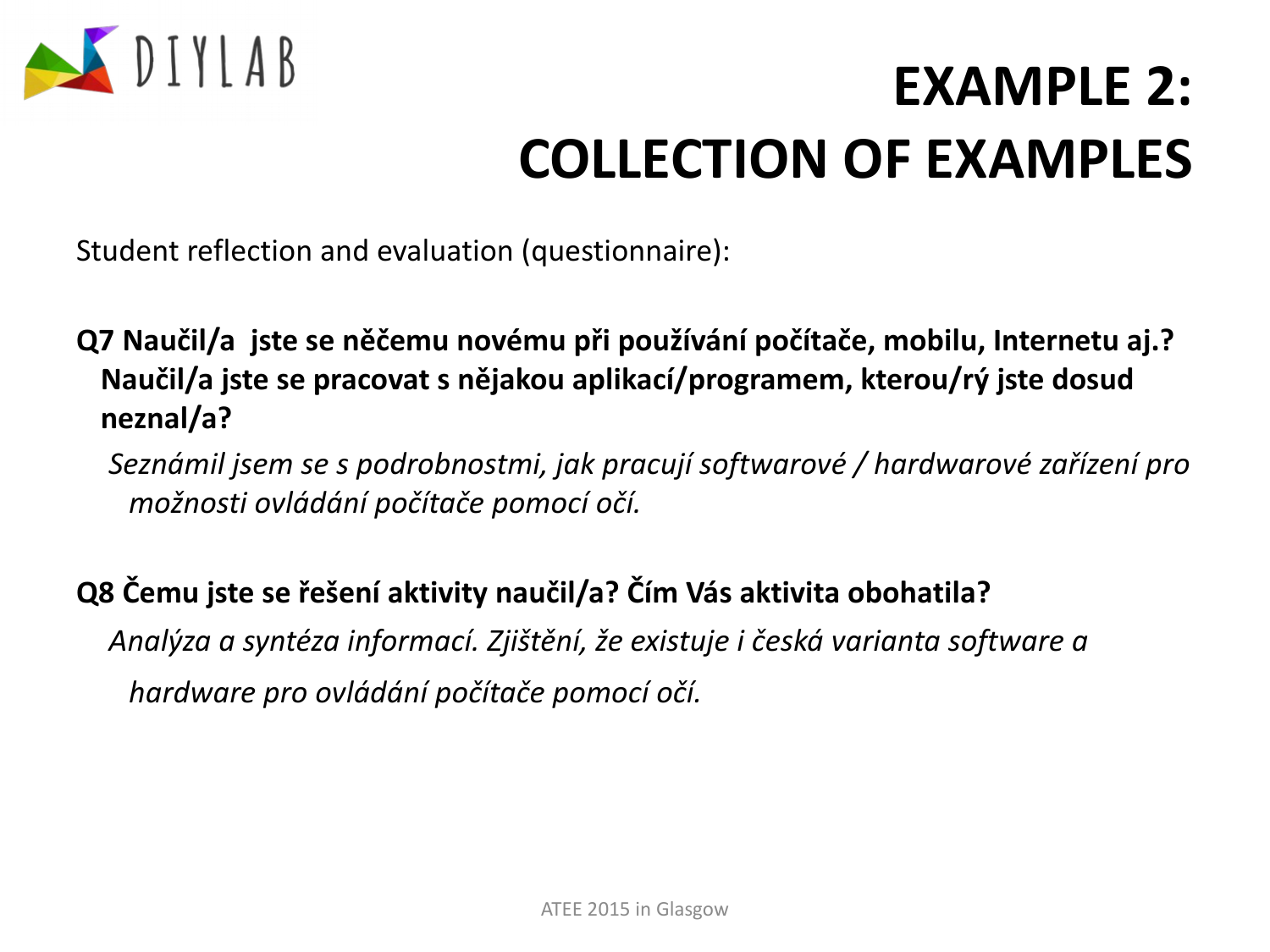

Student reflection and evaluation (questionnaire):

**Q7 Naučil/a jste se něčemu novému při používání počítače, mobilu, Internetu aj.? Naučil/a jste se pracovat s nějakou aplikací/programem, kterou/rý jste dosud neznal/a?**

*Seznámil jsem se s podrobnostmi, jak pracují softwarové / hardwarové zařízení pro možnosti ovládání počítače pomocí očí.* 

#### **Q8 Čemu jste se řešení aktivity naučil/a? Čím Vás aktivita obohatila?**

*Analýza a syntéza informací. Zjištění, že existuje i česká varianta software a hardware pro ovládání počítače pomocí očí.*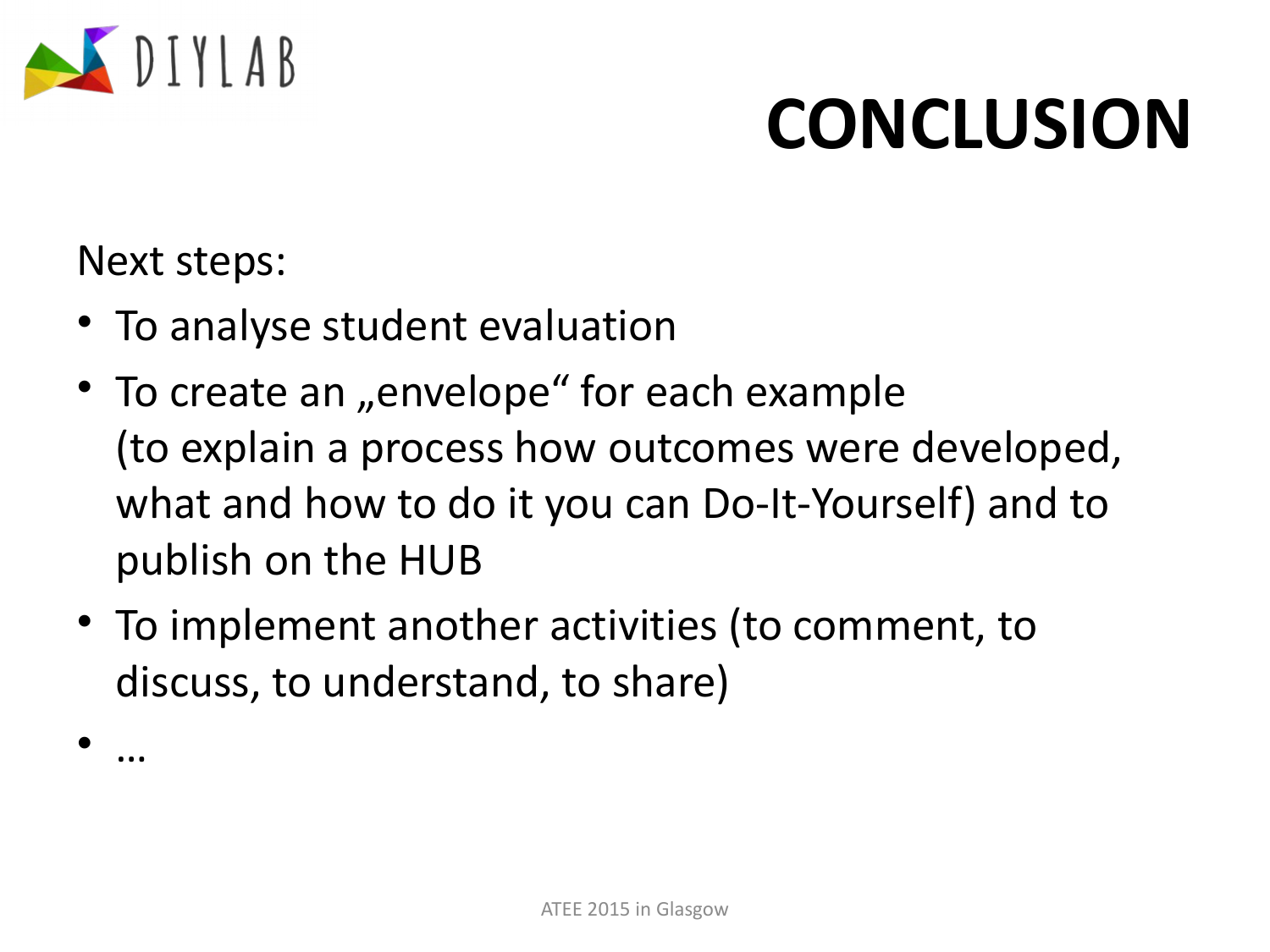

# **CONCLUSION**

Next steps:

- To analyse student evaluation
- To create an "envelope" for each example (to explain a process how outcomes were developed, what and how to do it you can Do-It-Yourself) and to publish on the HUB
- To implement another activities (to comment, to discuss, to understand, to share)

• …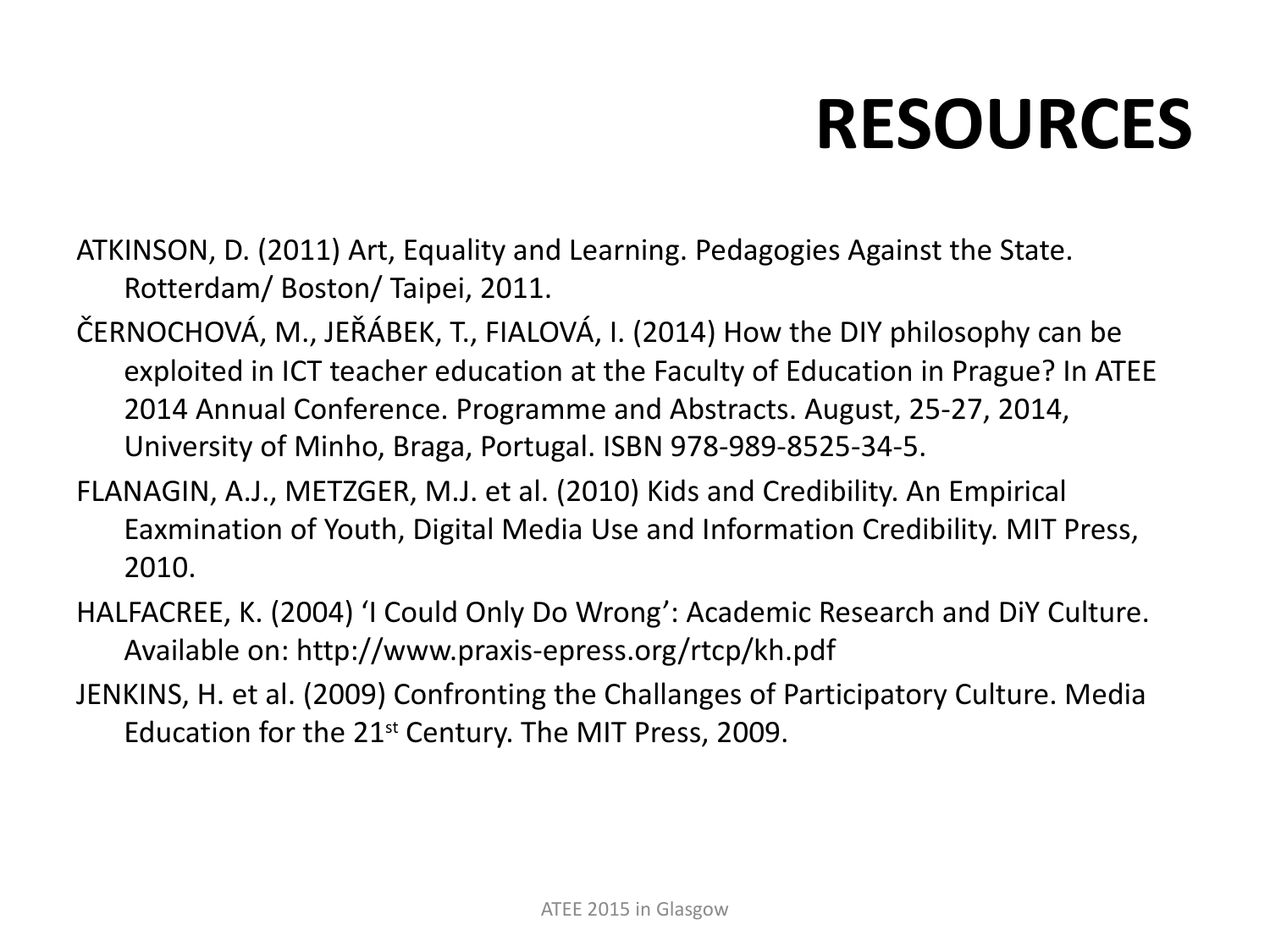# **RESOURCES**

ATKINSON, D. (2011) Art, Equality and Learning. Pedagogies Against the State. Rotterdam/ Boston/ Taipei, 2011.

- ČERNOCHOVÁ, M., JEŘÁBEK, T., FIALOVÁ, I. (2014) How the DIY philosophy can be exploited in ICT teacher education at the Faculty of Education in Prague? In ATEE 2014 Annual Conference. Programme and Abstracts. August, 25-27, 2014, University of Minho, Braga, Portugal. ISBN 978-989-8525-34-5.
- FLANAGIN, A.J., METZGER, M.J. et al. (2010) Kids and Credibility. An Empirical Eaxmination of Youth, Digital Media Use and Information Credibility. MIT Press, 2010.
- HALFACREE, K. (2004) 'I Could Only Do Wrong': Academic Research and DiY Culture. Available on: http://www.praxis-epress.org/rtcp/kh.pdf
- JENKINS, H. et al. (2009) Confronting the Challanges of Participatory Culture. Media Education for the  $21^{st}$  Century. The MIT Press, 2009.